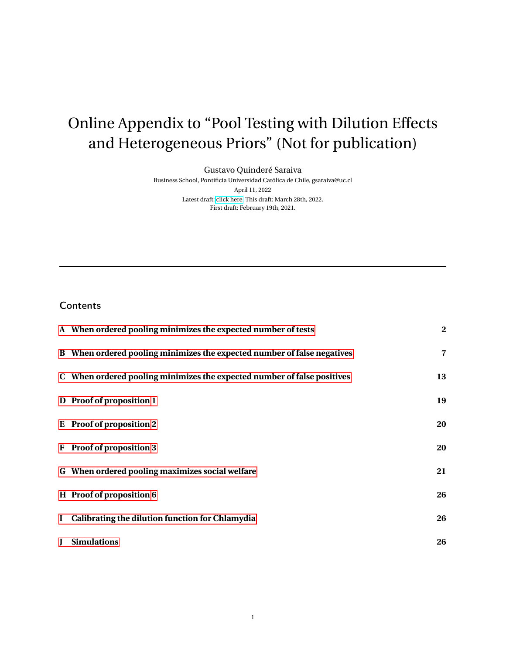# <span id="page-0-0"></span>Online Appendix to "Pool Testing with Dilution Effects and Heterogeneous Priors" (Not for publication)

Gustavo Quinderé Saraiva

Business School, Pontificia Universidad Católica de Chile, gsaraiva@uc.cl April 11, 2022 Latest draft: [click here.](https://gustavoqsaraiva.com/Pool_testing_dilution_effect_het_priors.pdf) This draft: March 28th, 2022. First draft: February 19th, 2021.

## **Contents**

| A When ordered pooling minimizes the expected number of tests           | $\bf{2}$       |
|-------------------------------------------------------------------------|----------------|
| B When ordered pooling minimizes the expected number of false negatives | $\overline{7}$ |
| C When ordered pooling minimizes the expected number of false positives | 13             |
| D Proof of proposition 1                                                | 19             |
| E Proof of proposition 2                                                | 20             |
| F Proof of proposition 3                                                | 20             |
| G When ordered pooling maximizes social welfare                         | 21             |
| H Proof of proposition 6                                                | 26             |
| I Calibrating the dilution function for Chlamydia                       | 26             |
| <b>J</b> Simulations                                                    | 26             |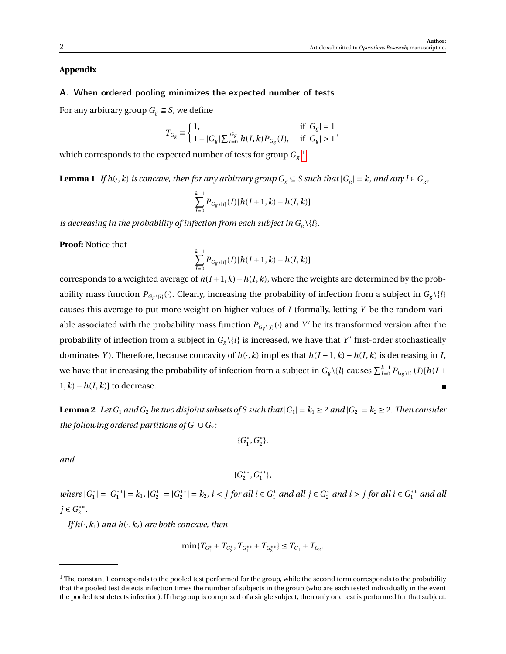## **Appendix**

## <span id="page-1-0"></span>A. When ordered pooling minimizes the expected number of tests

For any arbitrary group  $G_g \subseteq S$ , we define

$$
T_{G_g} \equiv \left\{ \begin{array}{ll} 1, & \mbox{if} \; |G_g| = 1 \\ 1 + |G_g| \sum_{I=0}^{|G_g|} h(I,k) P_{G_g}(I), & \mbox{if} \; |G_g| > 1 \end{array} \right., \label{eq:tof}
$$

<span id="page-1-2"></span>which corresponds to the expected number of tests for group  $G_{\mathrm{g}}$  . $^1$  $^1$ 

**Lemma 1** If  $h(\cdot, k)$  is concave, then for any arbitrary group  $G_g \subseteq S$  such that  $|G_g| = k$ , and any  $l \in G_g$ ,

$$
\sum_{I=0}^{k-1} P_{G_g \setminus \{l\}}(I)[h(I+1,k)-h(I,k)]
$$

*is decreasing in the probability of infection from each subject in*  $G_g \setminus \{l\}$ *.* 

**Proof:** Notice that

$$
\sum_{I=0}^{k-1} P_{G_{g}\setminus\{l\}}(I)[h(I+1,k)-h(I,k)]
$$

corresponds to a weighted average of  $h(I+1,k) - h(I,k)$ , where the weights are determined by the probability mass function  $P_{G_g \setminus \{l\}}(\cdot)$ . Clearly, increasing the probability of infection from a subject in  $G_g \setminus \{l\}$ causes this average to put more weight on higher values of *I* (formally, letting *Y* be the random variable associated with the probability mass function  $P_{G_g \setminus \{l\}}(\cdot)$  and  $Y'$  be its transformed version after the probability of infection from a subject in  $G_g \setminus \{l\}$  is increased, we have that  $Y'$  first-order stochastically dominates *Y*). Therefore, because concavity of  $h(\cdot, k)$  implies that  $h(I+1, k) - h(I, k)$  is decreasing in *I*, we have that increasing the probability of infection from a subject in  $G_g \setminus \{l\}$  causes  $\sum_{I=0}^{k-1} P_{G_g \setminus \{l\}}(I) [h(I+1) - h(I+1)]$  $1, k$ ) −  $h(I, k)$ ] to decrease.

<span id="page-1-3"></span>**Lemma 2** Let  $G_1$  and  $G_2$  be two disjoint subsets of S such that  $|G_1| = k_1 \geq 2$  and  $|G_2| = k_2 \geq 2$ . Then consider *the following ordered partitions of*  $G_1 \cup G_2$ *:* 

$$
\{G_1^*, G_2^*\},
$$

*and*

$$
\{G_2^{**}, G_1^{**}\},
$$

*where*  $|G_1^*|$  $|_1^*| = |G_1^{**}|$  $|S_1^{**}| = k_1, |G_2^*|$  $|S_2^*| = |G_2^{**}|$  $|z^*| = k_2$ , *i* < *j* for all *i* ∈  $G_1^*$  and all *j* ∈  $G_2^*$  and *i* > *j* for all *i* ∈  $G_1^{**}$  and all *j* ∈  $G_2$ <sup>\*\*</sup> 2 *.*

*If*  $h(\cdot, k_1)$  *and*  $h(\cdot, k_2)$  *are both concave, then* 

$$
\min\{T_{G_1^*} + T_{G_2^*}, T_{G_1^{**}} + T_{G_2^{**}}\} \le T_{G_1} + T_{G_2}.
$$

<span id="page-1-1"></span> $1$  The constant 1 corresponds to the pooled test performed for the group, while the second term corresponds to the probability that the pooled test detects infection times the number of subjects in the group (who are each tested individually in the event the pooled test detects infection). If the group is comprised of a single subject, then only one test is performed for that subject.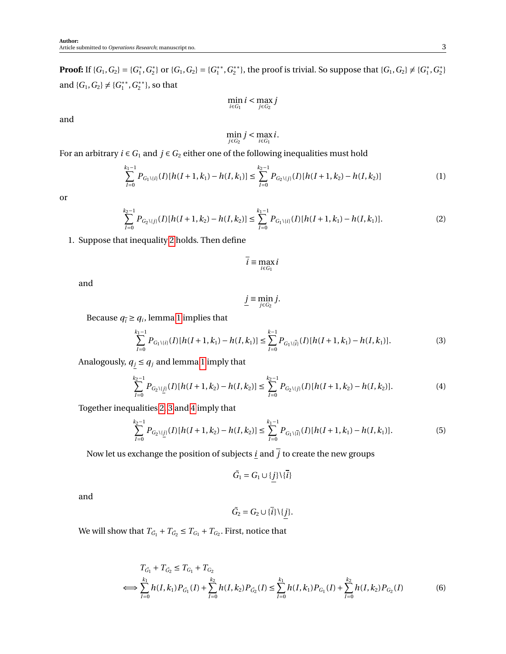**Proof:** If  $\{G_1, G_2\} = \{G_1^*$  $_1^*, G_2^*$ <sup>2</sup>/<sub>2</sub> or {*G*<sub>1</sub>, *G*<sub>2</sub>} = {*G*<sub>1</sub><sup>\*\*</sup> 1 ,*G* ∗∗ <sup>\*\*</sup>}, the proof is trivial. So suppose that  $\{G_1, G_2\} \neq \{G_1^*$  $_1^*, G_2^*$  $\begin{bmatrix} * \\ 2 \end{bmatrix}$ and  ${G_1, G_2} \neq {G_1^*}^*$ 1 ,*G* ∗∗  $\binom{**}{2}$ , so that

$$
\min_{i \in G_1} i < \max_{j \in G_2} j
$$

and

$$
\min_{j\in G_2}j<\max_{i\in G_1}i.
$$

For an arbitrary  $i \in G_1$  and  $j \in G_2$  either one of the following inequalities must hold

$$
\sum_{I=0}^{k_1-1} P_{G_1\backslash\{i\}}(I)[h(I+1,k_1)-h(I,k_1)] \le \sum_{I=0}^{k_2-1} P_{G_2\backslash\{j\}}(I)[h(I+1,k_2)-h(I,k_2)] \tag{1}
$$

or

$$
\sum_{I=0}^{k_2-1} P_{G_2\setminus\{j\}}(I)[h(I+1,k_2)-h(I,k_2)] \le \sum_{I=0}^{k_1-1} P_{G_1\setminus\{i\}}(I)[h(I+1,k_1)-h(I,k_1)].\tag{2}
$$

## 1. Suppose that inequality [2](#page-2-0) holds. Then define

<span id="page-2-5"></span><span id="page-2-0"></span>
$$
\overline{i} \equiv \max_{i \in G_1} i
$$

and

$$
\underline{j}\equiv \min_{j\in G_2}j.
$$

Because  $q_{\overline{i}} \geq q_i$ , lemma [1](#page-1-2) implies that

<span id="page-2-1"></span>
$$
\sum_{I=0}^{k_1-1} P_{G_1\setminus\{i\}}(I)[h(I+1,k_1)-h(I,k_1)] \le \sum_{I=0}^{k-1} P_{G_1\setminus\{\overline{i}\}}(I)[h(I+1,k_1)-h(I,k_1)].\tag{3}
$$

Analogously,  $q_j \leq q_j$  and lemma [1](#page-1-2) imply that

<span id="page-2-2"></span>
$$
\sum_{I=0}^{k_2-1} P_{G_2\setminus\{j\}}(I)[h(I+1,k_2)-h(I,k_2)] \leq \sum_{I=0}^{k_2-1} P_{G_2\setminus\{j\}}(I)[h(I+1,k_2)-h(I,k_2)]. \tag{4}
$$

Together inequalities [2,](#page-2-0) [3](#page-2-1) and [4](#page-2-2) imply that

<span id="page-2-4"></span>
$$
\sum_{I=0}^{k_2-1} P_{G_2\setminus\{j\}}(I)[h(I+1,k_2)-h(I,k_2)] \le \sum_{I=0}^{k_1-1} P_{G_1\setminus\{\tilde{l}\}}(I)[h(I+1,k_1)-h(I,k_1)].\tag{5}
$$

Now let us exchange the position of subjects <u>*i*</u> and  $\overline{j}$  to create the new groups

$$
\tilde{G}_1 = G_1 \cup \{j\} \setminus \{\overline{i}\}\
$$

and

<span id="page-2-3"></span>
$$
\tilde{G}_2 = G_2 \cup \{\overline{i}\} \setminus \{\underline{j}\}.
$$

We will show that  $T_{\tilde{G}_1} + T_{\tilde{G}_2} \le T_{G_1} + T_{G_2}$ . First, notice that

$$
T_{\tilde{G}_1} + T_{\tilde{G}_2} \le T_{G_1} + T_{G_2}
$$
\n
$$
\iff \sum_{I=0}^{k_1} h(I, k_1) P_{\tilde{G}_1}(I) + \sum_{I=0}^{k_2} h(I, k_2) P_{\tilde{G}_2}(I) \le \sum_{I=0}^{k_1} h(I, k_1) P_{G_1}(I) + \sum_{I=0}^{k_2} h(I, k_2) P_{G_2}(I) \tag{6}
$$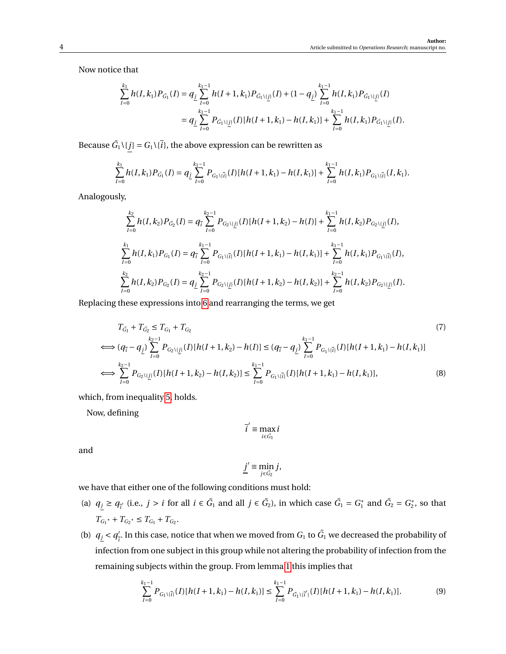Now notice that

$$
\sum_{I=0}^{k_1} h(I, k_1) P_{\tilde{G}_1}(I) = q_{\underline{j}} \sum_{I=0}^{k_1-1} h(I + 1, k_1) P_{\tilde{G}_1 \setminus [\underline{j}]}(I) + (1 - q_{\underline{j}}) \sum_{I=0}^{k_1-1} h(I, k_1) P_{\tilde{G}_1 \setminus [\underline{j}]}(I)
$$
  

$$
= q_{\underline{j}} \sum_{I=0}^{k_1-1} P_{\tilde{G}_1 \setminus [\underline{j}]}(I) [h(I + 1, k_1) - h(I, k_1)] + \sum_{I=0}^{k_1-1} h(I, k_1) P_{\tilde{G}_1 \setminus [\underline{j}]}(I).
$$

Because  $\tilde{G}_1 \setminus \{j\} = G_1 \setminus \{i\}$ , the above expression can be rewritten as

$$
\sum_{I=0}^{k_1} h(I,k_1)P_{\tilde{G}_1}(I) = q_{\underline{j}} \sum_{I=0}^{k_1-1} P_{G_1 \setminus \{ \bar{I} \}}(I) [h(I+1,k_1) - h(I,k_1)] + \sum_{I=0}^{k_1-1} h(I,k_1)P_{G_1 \setminus \{ \bar{I} \}}(I,k_1).
$$

Analogously,

$$
\sum_{I=0}^{k_2} h(I, k_2) P_{\tilde{G}_2}(I) = q_{\tilde{i}} \sum_{I=0}^{k_2-1} P_{G_2 \setminus \{j\}}(I) [h(I+1, k_2) - h(I)] + \sum_{I=0}^{k_1-1} h(I, k_2) P_{G_2 \setminus \{j\}}(I),
$$
  

$$
\sum_{I=0}^{k_1} h(I, k_1) P_{G_1}(I) = q_{\tilde{i}} \sum_{I=0}^{k_1-1} P_{G_1 \setminus \{j\}}(I) [h(I+1, k_1) - h(I, k_1)] + \sum_{I=0}^{k_1-1} h(I, k_1) P_{G_1 \setminus \{j\}}(I),
$$
  

$$
\sum_{I=0}^{k_2} h(I, k_2) P_{G_2}(I) = q_{\underline{j}} \sum_{I=0}^{k_2-1} P_{G_2 \setminus \{j\}}(I) [h(I+1, k_2) - h(I, k_2)] + \sum_{I=0}^{k_2-1} h(I, k_2) P_{G_2 \setminus \{j\}}(I).
$$

Replacing these expressions into [6](#page-2-3) and rearranging the terms, we get

$$
T_{\tilde{G}_1} + T_{\tilde{G}_2} \le T_{G_1} + T_{G_2}
$$
\n
$$
\iff (q_{\tilde{l}} - q_{\underline{j}}) \sum_{I=0}^{k_2 - 1} P_{G_2 \setminus \{j\}}(I)[h(I+1, k_2) - h(I)] \le (q_{\tilde{l}} - q_{\underline{j}}) \sum_{I=0}^{k_1 - 1} P_{G_1 \setminus \{i\}}(I)[h(I+1, k_1) - h(I, k_1)]
$$
\n
$$
\iff \sum_{I=0}^{k_2 - 1} P_{G_2 \setminus \{j\}}(I)[h(I+1, k_2) - h(I, k_2)] \le \sum_{I=0}^{k_1 - 1} P_{G_1 \setminus \{i\}}(I)[h(I+1, k_1) - h(I, k_1)],
$$
\n(8)

which, from inequality [5,](#page-2-4) holds.

Now, defining

<span id="page-3-0"></span>
$$
\overline{i}' \equiv \max_{i \in \tilde{G_1}} i
$$

and

$$
\underline{j}' \equiv \min_{j \in \tilde{G_2}} j,
$$

we have that either one of the following conditions must hold:

- (a)  $q_j \geq q_{\overline{i}}$  (i.e.,  $j > i$  for all  $i \in \tilde{G}_1$  and all  $j \in \tilde{G}_2$ ), in which case  $\tilde{G}_1 = G_1^*$  $G_1^*$  and  $\tilde{G}_2 = G_2^*$  $n_2^*$ , so that  $T_{G_1^*} + T_{G_2^*} \leq T_{G_1} + T_{G_2}.$
- (b)  $q_j < q_j'$  $\frac{1}{l}$ . In this case, notice that when we moved from  $G_1$  to  $\tilde{G}_1$  we decreased the probability of infection from one subject in this group while not altering the probability of infection from the remaining subjects within the group. From lemma [1](#page-1-2) this implies that

<span id="page-3-1"></span>
$$
\sum_{I=0}^{k_1-1} P_{G_1\setminus\{\bar{i}\}}(I)[h(I+1,k_1)-h(I,k_1)] \leq \sum_{I=0}^{k_1-1} P_{\tilde{G}_1\setminus\{\bar{i}'\}}(I)[h(I+1,k_1)-h(I,k_1)].\tag{9}
$$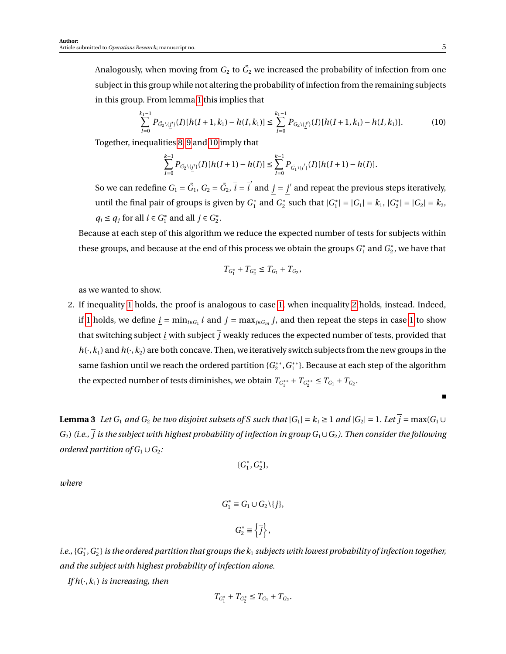Analogously, when moving from  $G_2$  to  $\tilde{G_2}$  we increased the probability of infection from one subject in this group while not altering the probability of infection from the remaining subjects in this group. From lemma [1](#page-1-2) this implies that

<span id="page-4-0"></span>
$$
\sum_{I=0}^{k_1-1} P_{\tilde{G}_2\setminus\{j'\}}(I)[h(I+1,k_1)-h(I,k_1)] \le \sum_{I=0}^{k_1-1} P_{G_2\setminus\{j'\}}(I)[h(I+1,k_1)-h(I,k_1)].\tag{10}
$$

Together, inequalities [8,](#page-3-0) [9](#page-3-1) and [10](#page-4-0) imply that

$$
\sum_{I=0}^{k-1} P_{\tilde{G}_2\setminus\{j'\}}(I)[h(I+1)-h(I)] \leq \sum_{I=0}^{k-1} P_{\tilde{G}_1\setminus\{i'\}}(I)[h(I+1)-h(I)].
$$

So we can redefine  $G_1 = \tilde{G}_1$ ,  $G_2 = \tilde{G}_2$ ,  $\bar{i} = \bar{i}^{'}$  and  $j = j'$  and repeat the previous steps iteratively, until the final pair of groups is given by *G* ∗  $G_2^*$  and  $G_2^*$  $C_2^*$  such that  $|G_1^*|$  $|G_1| = |G_1| = k_1, |G_2^*|$  $|S_2^*| = |G_2| = k_2,$  $q_i \leq q_j$  for all  $i \in G_1^*$  $j_1^*$  and all  $j \in G_2^*$  $\frac{1}{2}$ .

Because at each step of this algorithm we reduce the expected number of tests for subjects within these groups, and because at the end of this process we obtain the groups *G* ∗  $_1^*$  and  $G_2^*$  $_2^*$ , we have that

$$
T_{G_1^*} + T_{G_2^*} \leq T_{G_1} + T_{G_2},
$$

as we wanted to show.

2. If inequality [1](#page-2-5) holds, the proof is analogous to case [1,](#page-4-0) when inequality [2](#page-2-0) holds, instead. Indeed, if [1](#page-4-0) holds, we define  $\underline{i} = \min_{i \in G_1} i$  and  $\overline{j} = \max_{j \in G_m} j$ , and then repeat the steps in case 1 to show that switching subject *i* with subject  $\overline{j}$  weakly reduces the expected number of tests, provided that  $h(\cdot,k_1)$  and  $h(\cdot,k_2)$  are both concave. Then, we iteratively switch subjects from the new groups in the same fashion until we reach the ordered partition {*G* ∗∗  $C_2^{**}$ ,  $G_1^{**}$  $_1^{\ast\ast}$ }. Because at each step of the algorithm the expected number of tests diminishes, we obtain  $T_{G_1^{**}} + T_{G_2^{**}} \le T_{G_1} + T_{G_2}$ .

<span id="page-4-1"></span>**Lemma 3** *Let*  $G_1$  *and*  $G_2$  *be two disjoint subsets of* S *such that*  $|G_1| = k_1 \ge 1$  *and*  $|G_2| = 1$ *. Let*  $\overline{j} = \max(G_1 \cup G_2)$  $G_2$ ) (i.e.,  $\overline{j}$  is the subject with highest probability of infection in group  $G_1 \cup G_2$ ). Then consider the following *ordered partition of*  $G_1 \cup G_2$ *:* 

$$
\{G_1^*, G_2^*\},
$$

*where*

$$
G_1^* \equiv G_1 \cup G_2 \setminus {\overline{j}},
$$
  

$$
G_2^* \equiv {\overline{j}},
$$

*i.e.*, { $G_1^*$  $_1^*, G_2^*$  $_{2}^{\ast}\}$  is the ordered partition that groups the  $k_{1}$  subjects with lowest probability of infection together, *and the subject with highest probability of infection alone.*

*If*  $h(\cdot, k_1)$  *is increasing, then* 

$$
T_{G_1^*} + T_{G_2^*} \leq T_{G_1} + T_{G_2}.
$$

П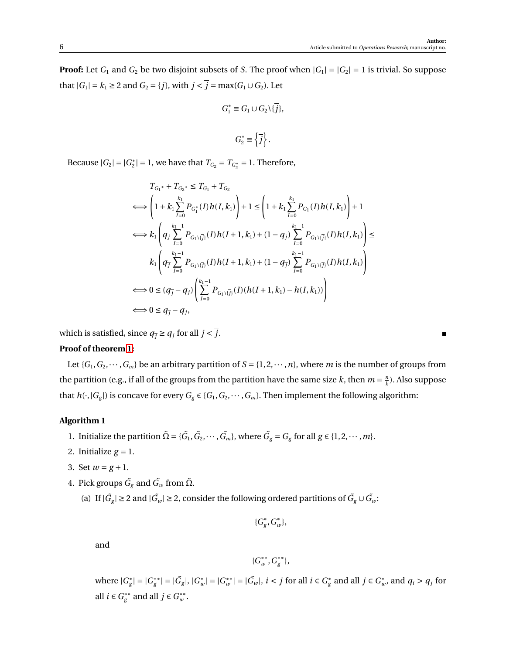**Proof:** Let  $G_1$  and  $G_2$  be two disjoint subsets of *S*. The proof when  $|G_1| = |G_2| = 1$  is trivial. So suppose that  $|G_1| = k_1 \geq 2$  and  $G_2 = \{j\}$ , with  $j < \overline{j} = \max(G_1 \cup G_2)$ . Let

$$
G_1^* \equiv G_1 \cup G_2 \setminus \{ \overline{j} \},
$$

$$
G_2^*\equiv \left\{\overline{j}\right\}.
$$

Because  $|G_2| = |G_2^*|$  $Z_2^*$  = 1, we have that  $T_{G_2} = T_{G_2^*} = 1$ . Therefore,

$$
T_{G_1^*} + T_{G_2^*} \le T_{G_1} + T_{G_2}
$$
\n
$$
\Longleftrightarrow \left(1 + k_1 \sum_{I=0}^{k_1} P_{G_1^*}(I)h(I, k_1)\right) + 1 \le \left(1 + k_1 \sum_{I=0}^{k_1} P_{G_1}(I)h(I, k_1)\right) + 1
$$
\n
$$
\Longleftrightarrow k_1 \left(q_j \sum_{I=0}^{k_1-1} P_{G_1\setminus\{j\}}(I)h(I+1, k_1) + (1-q_j) \sum_{I=0}^{k_1-1} P_{G_1\setminus\{j\}}(I)h(I, k_1)\right) \le
$$
\n
$$
k_1 \left(q_j \sum_{I=0}^{k_1-1} P_{G_1\setminus\{j\}}(I)h(I+1, k_1) + (1-q_j) \sum_{I=0}^{k_1-1} P_{G_1\setminus\{j\}}(I)h(I, k_1)\right)
$$
\n
$$
\Longleftrightarrow 0 \le (q_j - q_j) \left(\sum_{I=0}^{k_1-1} P_{G_1\setminus\{j\}}(I)(h(I+1, k_1) - h(I, k_1))\right)
$$
\n
$$
\Longleftrightarrow 0 \le q_j - q_j,
$$

which is satisfied, since  $q_{\overline{j}} \geq q_j$  for all  $j < \overline{j}$ .

### **Proof of theorem [1:](#page-0-0)**

Let  $\{G_1, G_2, \dots, G_m\}$  be an arbitrary partition of  $S = \{1, 2, \dots, n\}$ , where *m* is the number of groups from the partition (e.g., if all of the groups from the partition have the same size *k*, then  $m = \frac{n}{k}$  $\frac{n}{k}$ ). Also suppose that  $h(\cdot, |G_g|)$  is concave for every  $G_g \in \{G_1, G_2, \dots, G_m\}$ . Then implement the following algorithm:

## **Algorithm 1**

- 1. Initialize the partition  $\tilde{\Omega} = {\{\tilde{G}_1, \tilde{G}_2, \cdots, \tilde{G}_m\}}$ , where  $\tilde{G}_g = G_g$  for all  $g \in \{1, 2, \cdots, m\}$ .
- 2. Initialize  $g = 1$ .
- <span id="page-5-1"></span>3. Set  $w = g + 1$ .
- <span id="page-5-3"></span><span id="page-5-0"></span>4. Pick groups  $\tilde{G_{g}}$  and  $\tilde{G_{w}}$  from  $\tilde{\Omega}$ .
	- (a) If  $|\tilde{G}_{g}| \geq 2$  and  $|\tilde{G}_{w}| \geq 2$ , consider the following ordered partitions of  $\tilde{G}_{g} \cup \tilde{G}_{w}$ :

$$
\{G^*_g, G^*_w\},
$$

and

$$
\{G_w^{**}, G_g^{**}\},\
$$

where  $|G_{\varrho}^*|$  $|g| = |G_g^{**}|$  $|g^*| = |\tilde{G}_g|, |G_u^*|$  $|w|$ <sup>\*</sup> $|G_w^*|$  $|w^*| = |\tilde{G}_w|, i < j \text{ for all } i \in G_g^*$  $\frac{e}{g}$  and all *j* ∈  $G^*$ <sub>*u*</sub>  $w_i$ , and  $q_i > q_j$  for all *i* ∈  $G^{**}_{\varrho}$  $g^*$ <sup>\*</sup> and all *j* ∈  $G^*$ <sup>\*</sup> *w* .

<span id="page-5-2"></span>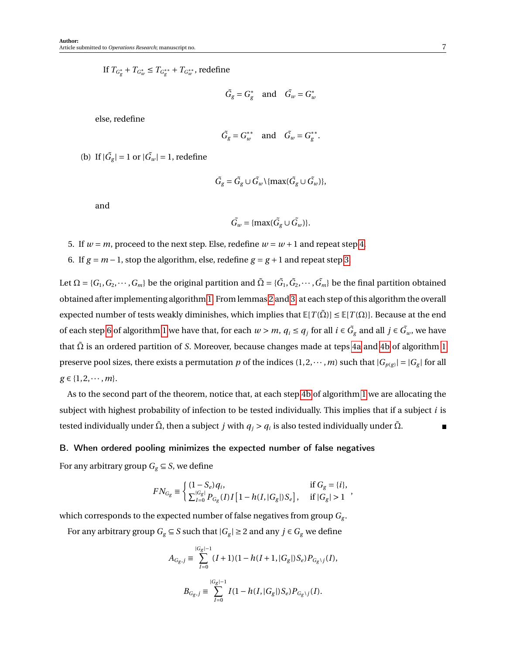If  $T_{G^*_g} + T_{G^*_w} \le T_{G^{**}_g} + T_{G^{**}_w}$ , redefine

$$
\tilde{G}_g = G_g^* \quad \text{and} \quad \tilde{G}_w = G_w^*
$$

else, redefine

$$
\tilde{G}_g = G_w^{**} \quad \text{and} \quad \tilde{G}_w = G_g^{**}.
$$

<span id="page-6-2"></span>(b) If  $|\tilde{G}_g| = 1$  or  $|\tilde{G}_w| = 1$ , redefine

$$
\tilde{G}_{g} = \tilde{G}_{g} \cup \tilde{G}_{w} \setminus \{\max(\tilde{G}_{g} \cup \tilde{G}_{w})\},\
$$

and

$$
\tilde{G}_w = \{\max(\tilde{G}_g \cup \tilde{G}_w)\}.
$$

- 5. If  $w = m$ , proceed to the next step. Else, redefine  $w = w + 1$  and repeat step [4.](#page-5-0)
- <span id="page-6-1"></span>6. If  $g = m - 1$ , stop the algorithm, else, redefine  $g = g + 1$  and repeat step [3.](#page-5-1)

Let  $\Omega = \{G_1, G_2, \cdots, G_m\}$  be the original partition and  $\tilde\Omega = \{\tilde G_1, \tilde G_2, \cdots, \tilde G_m\}$  be the final partition obtained obtained after implementing algorithm [1.](#page-5-2) From lemmas [2](#page-1-3) and [3,](#page-4-1) at each step of this algorithm the overall expected number of tests weakly diminishes, which implies that  $\mathbb{E}[T(\tilde{\Omega})] \leq \mathbb{E}[T(\Omega)]$ . Because at the end of each step [6](#page-6-1) of algorithm [1](#page-5-2) we have that, for each  $w > m$ ,  $q_i \le q_j$  for all  $i \in \tilde{G}_g$  and all  $j \in \tilde{G}_w$ , we have that Ω˜ is an ordered partition of *S*. Moreover, because changes made at teps [4a](#page-5-3) and [4b](#page-6-2) of algorithm [1](#page-5-2) preserve pool sizes, there exists a permutation p of the indices  $(1, 2, \dots, m)$  such that  $|G_{p(g)}| = |G_g|$  for all  $g \in \{1, 2, \cdots, m\}.$ 

As to the second part of the theorem, notice that, at each step [4b](#page-6-2) of algorithm [1](#page-5-2) we are allocating the subject with highest probability of infection to be tested individually. This implies that if a subject *i* is tested individually under  $\tilde{\Omega}$ , then a subject  $j$  with  $q_j > q_i$  is also tested individually under  $\tilde{\Omega}$ .  $\blacksquare$ 

#### <span id="page-6-0"></span>B. When ordered pooling minimizes the expected number of false negatives

For any arbitrary group  $G_g \subseteq S$ , we define

$$
FN_{G_g} \equiv \left\{ \begin{aligned} &(1-S_e)q_i, &\text{if } G_g = \{i\}, \\ &\sum_{I=0}^{|G_g|} P_{G_g}(I) I\left[1-h(I,|G_g|)S_e\right], &\text{if } |G_g|>1 \end{aligned} \right.
$$

,

which corresponds to the expected number of false negatives from group *G<sup>g</sup>* .

For any arbitrary group  $G_g \subseteq S$  such that  $|G_g| \geq 2$  and any  $j \in G_g$  we define

$$
A_{G_g,j} \equiv \sum_{I=0}^{|G_g|-1} (I+1)(1-h(I+1, |G_g|)S_e)P_{G_g\setminus j}(I),
$$
  

$$
B_{G_g,j} \equiv \sum_{I=0}^{|G_g|-1} I(1-h(I, |G_g|)S_e)P_{G_g\setminus j}(I).
$$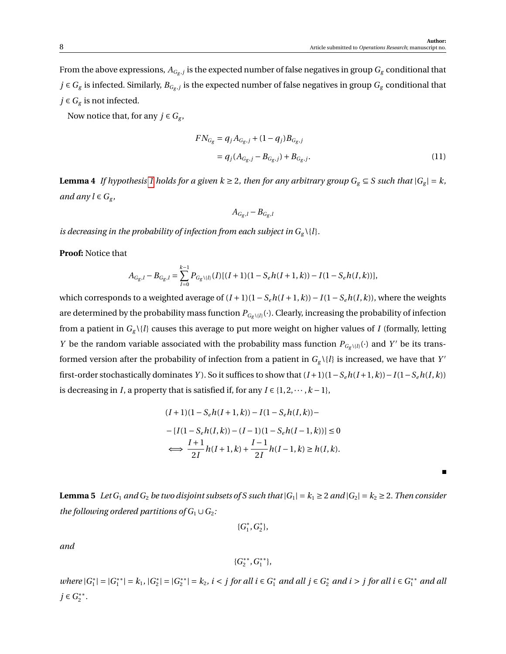From the above expressions,  $A_{G_g,j}$  is the expected number of false negatives in group  $G_g$  conditional that *j* ∈  $G_g$  is infected. Similarly,  $B_{G_g,j}$  is the expected number of false negatives in group  $G_g$  conditional that *j* ∈  $G_g$  is not infected.

Now notice that, for any  $j \in G_g$ ,

$$
FN_{G_g} = q_j A_{G_g, j} + (1 - q_j) B_{G_g, j}
$$
  
=  $q_j (A_{G_g, j} - B_{G_g, j}) + B_{G_g, j}.$  (11)

<span id="page-7-0"></span>**Lemma 4** *If hypothesis* [1](#page-0-0) *holds for a given*  $k \ge 2$ , *then for any arbitrary group*  $G_g \subseteq S$  *such that*  $|G_g| = k$ , *and any*  $l \in G_g$ ,

<span id="page-7-1"></span>
$$
A_{G_g,l} - B_{G_g,l}
$$

*is decreasing in the probability of infection from each subject in*  $G_g \setminus \{l\}$ *.* 

**Proof:** Notice that

$$
A_{G_g,l} - B_{G_g,l} = \sum_{I=0}^{k-1} P_{G_g\backslash\{l\}}(I) [(I+1)(1-S_e h(I+1,k)) - I(1-S_e h(I,k))],
$$

which corresponds to a weighted average of (*I* +1)(1−*Seh*(*I* +1,*k*))− *I*(1−*Seh*(*I*,*k*)), where the weights are determined by the probability mass function  $P_{G_g \setminus \{l\}}(\cdot)$ . Clearly, increasing the probability of infection from a patient in  $G_g \setminus \{l\}$  causes this average to put more weight on higher values of *I* (formally, letting *Y* be the random variable associated with the probability mass function  $P_{G_g \setminus \{l\}}(\cdot)$  and *Y'* be its transformed version after the probability of infection from a patient in  $G_g \setminus \{l\}$  is increased, we have that  $Y'$ first-order stochastically dominates *Y*). So it suffices to show that  $(I+1)(1-S_eh(I+1,k))-I(1-S_eh(I,k))$ is decreasing in *I*, a property that is satisfied if, for any  $I \in \{1, 2, \dots, k-1\}$ ,

$$
(I+1)(1 - S_e h(I+1, k)) - I(1 - S_e h(I, k)) -
$$
  
\n
$$
- [I(1 - S_e h(I, k)) - (I-1)(1 - S_e h(I-1, k))] \le 0
$$
  
\n
$$
\iff \frac{I+1}{2I} h(I+1, k) + \frac{I-1}{2I} h(I-1, k) \ge h(I, k).
$$

<span id="page-7-2"></span>**Lemma 5** Let  $G_1$  *and*  $G_2$  *be two disjoint subsets of S such that*  $|G_1| = k_1 \geq 2$  *and*  $|G_2| = k_2 \geq 2$ *. Then consider the following ordered partitions of*  $G_1 \cup G_2$ *:* 

> {*G* ∗  $f_1^*, G_2^*$  $_{2}^{\ast}\},$

*and*

$$
\{G_2^{**}, G_1^{**}\},
$$

*where*  $|G_1^*|$  $|_1^*| = |G_1^{**}|$  $|S_1^{**}| = k_1, |G_2^*|$  $|S_2^*| = |G_2^{**}|$  $|z^*| = k_2$ , *i* < *j* for all *i* ∈  $G_1^*$  and all *j* ∈  $G_2^*$  and *i* > *j* for all *i* ∈  $G_1^{**}$  and all *j* ∈  $G_2$ <sup>\*\*</sup> 2 *.*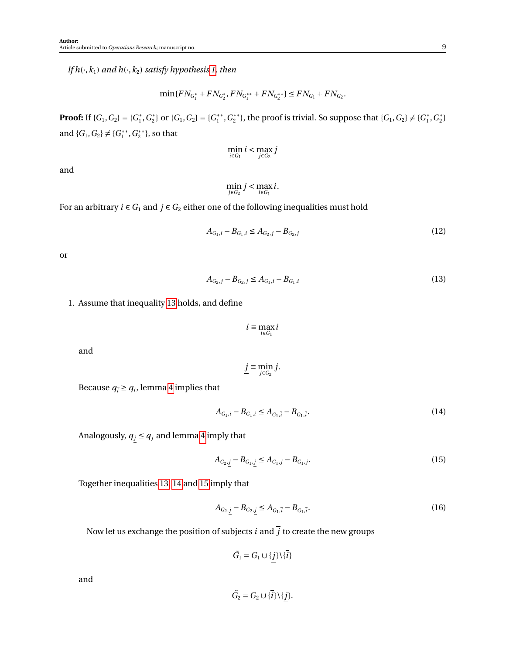*If*  $h(\cdot, k_1)$  *and*  $h(\cdot, k_2)$  *satisfy hypothesis 1, then* 

$$
\min\{FN_{G_1^*} + FN_{G_2^*}, FN_{G_1^{**}} + FN_{G_2^{**}}\} \le FN_{G_1} + FN_{G_2}.
$$

**Proof:** If  $\{G_1, G_2\} = \{G_1^*$  $_1^*, G_2^*$ <sup>2</sup>/<sub>2</sub> or {*G*<sub>1</sub>, *G*<sub>2</sub>} = {*G*<sup>\*\*</sup><sub>1</sub> 1 ,*G* ∗∗ <sup>\*\*</sup>}, the proof is trivial. So suppose that  $\{G_1, G_2\} \neq \{G_1^*$ 1 ,*G* ∗  $_{2}^{*}$ and  ${G_1, G_2} \neq {G_1^*}^*$ 1 ,*G* ∗∗  $\binom{**}{2}$ , so that

$$
\min_{i \in G_1} i < \max_{j \in G_2} j
$$

and

<span id="page-8-4"></span>
$$
\min_{j\in G_2}j<\max_{i\in G_1}i.
$$

For an arbitrary  $i \in G_1$  and  $j \in G_2$  either one of the following inequalities must hold

$$
A_{G_1,i} - B_{G_1,i} \le A_{G_2,j} - B_{G_2,j} \tag{12}
$$

or

$$
A_{G_2,j} - B_{G_2,j} \le A_{G_1,i} - B_{G_1,i}
$$
\n(13)

<span id="page-8-5"></span>1. Assume that inequality [13](#page-8-0) holds, and define

<span id="page-8-0"></span>
$$
\overline{i} \equiv \max_{i \in G_1} i
$$

and

$$
\underline{j}\equiv \min_{j\in G_2}j.
$$

Because 
$$
q_{\bar{i}} \ge q_i
$$
, lemma 4 implies that

<span id="page-8-1"></span>
$$
A_{G_1,i} - B_{G_1,i} \le A_{G_1,\bar{i}} - B_{G_1,\bar{i}}.\tag{14}
$$

Analogously,  $q_j \le q_j$  and lemma [4](#page-7-0) imply that

<span id="page-8-2"></span>
$$
A_{G_2,j} - B_{G_1,j} \le A_{G_1,j} - B_{G_1,j}.\tag{15}
$$

Together inequalities [13,](#page-8-0) [14](#page-8-1) and [15](#page-8-2) imply that

<span id="page-8-3"></span>
$$
A_{G_2,j} - B_{G_2,j} \le A_{G_1,\bar{i}} - B_{G_1,\bar{i}}.\tag{16}
$$

Now let us exchange the position of subjects <u>*i*</u> and  $\overline{j}$  to create the new groups

$$
\tilde{G}_1 = G_1 \cup \{j\} \setminus \{\bar{i}\}\
$$

and

$$
\tilde{G}_2 = G_2 \cup \{\overline{i}\} \setminus \{j\}.
$$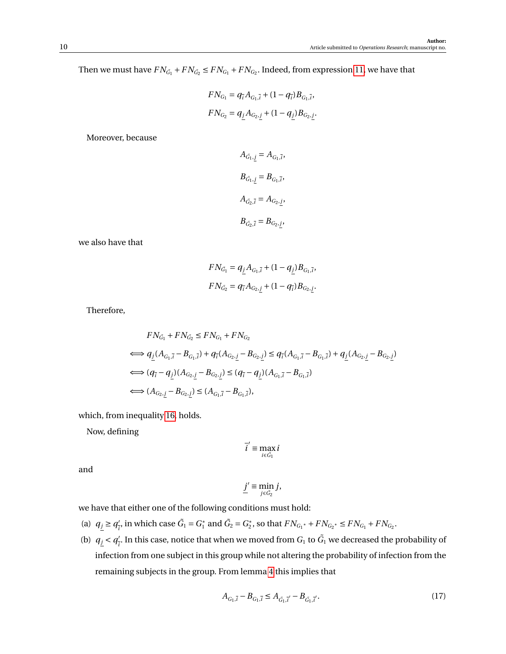Then we must have  $FN_{\tilde{G}_1} + FN_{\tilde{G}_2} \leq FN_{G_1} + FN_{G_2}$ . Indeed, from expression [11,](#page-7-1) we have that

$$
FN_{G_1} = q_{\bar{i}} A_{G_1, \bar{i}} + (1 - q_{\bar{i}}) B_{G_1, \bar{i}},
$$
  

$$
FN_{G_2} = q_{\underline{j}} A_{G_2, \underline{j}} + (1 - q_{\underline{j}}) B_{G_2, \underline{j}}.
$$

Moreover, because

$$
A_{\tilde{G}_1, \underline{j}} = A_{G_1, \overline{i}},
$$
  
\n
$$
B_{\tilde{G}_1, \underline{j}} = B_{G_1, \overline{i}},
$$
  
\n
$$
A_{\tilde{G}_2, \overline{i}} = A_{G_2, \underline{j}},
$$
  
\n
$$
B_{\tilde{G}_2, \overline{i}} = B_{G_2, \underline{j}},
$$

we also have that

$$
FN_{\tilde{G}_1} = q_{\underline{j}} A_{G_1, \bar{i}} + (1 - q_{\underline{j}}) B_{G_1, \bar{i}},
$$
  

$$
FN_{\tilde{G}_2} = q_{\bar{i}} A_{G_2, j} + (1 - q_{\bar{i}}) B_{G_2, j}.
$$

Therefore,

$$
FN_{G_1} + FN_{G_2} \le FN_{G_1} + FN_{G_2}
$$
\n
$$
\iff q_{\underline{j}}(A_{G_1,\overline{i}} - B_{G_1,\overline{i}}) + q_{\overline{i}}(A_{G_2,\underline{j}} - B_{G_2,\underline{j}}) \le q_{\overline{i}}(A_{G_1,\overline{i}} - B_{G_1,\overline{i}}) + q_{\underline{j}}(A_{G_2,\underline{j}} - B_{G_2,\underline{j}})
$$
\n
$$
\iff (q_{\overline{i}} - q_{\underline{j}})(A_{G_2,\underline{j}} - B_{G_2,\underline{j}}) \le (q_{\overline{i}} - q_{\underline{j}})(A_{G_1,\overline{i}} - B_{G_1,\overline{i}})
$$
\n
$$
\iff (A_{G_2,\underline{j}} - B_{G_2,\underline{j}}) \le (A_{G_1,\overline{i}} - B_{G_1,\overline{i}}),
$$

which, from inequality [16,](#page-8-3) holds.

Now, defining

$$
\overline{i}' \equiv \max_{i \in \tilde{G_1}} i
$$

and

$$
\underline{j}' \equiv \min_{j \in \tilde{G}_2} j,
$$

we have that either one of the following conditions must hold:

- (a)  $q_j \ge q_j^j$  $\frac{7}{i}$ , in which case  $\tilde{G}_1 = G_1^*$  $G_1^*$  and  $\tilde{G}_2 = G_2^*$  $Z_2^*$ , so that  $FN_{G_1^*} + FN_{G_2^*} \leq FN_{G_1} + FN_{G_2}.$
- (b)  $q_j < q'_i$  $\frac{1}{l}$ . In this case, notice that when we moved from  $G_1$  to  $\tilde{G_1}$  we decreased the probability of infection from one subject in this group while not altering the probability of infection from the remaining subjects in the group. From lemma [4](#page-7-0) this implies that

<span id="page-9-0"></span>
$$
A_{G_1,\bar{i}} - B_{G_1,\bar{i}} \le A_{\tilde{G}_1,\bar{i}'} - B_{\tilde{G}_1,\bar{i}'}.\tag{17}
$$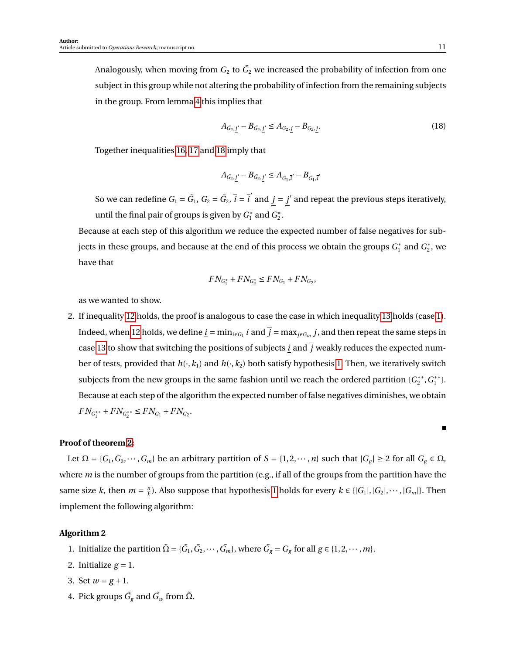Analogously, when moving from  $G_2$  to  $\tilde{G_2}$  we increased the probability of infection from one subject in this group while not altering the probability of infection from the remaining subjects in the group. From lemma [4](#page-7-0) this implies that

<span id="page-10-0"></span>
$$
A_{\tilde{G}_2,j'} - B_{\tilde{G}_2,j'} \le A_{G_2,j} - B_{G_2,j}.
$$
\n(18)

Together inequalities [16,](#page-8-3) [17](#page-9-0) and [18](#page-10-0) imply that

$$
A_{\tilde{G}_2,\underline{j}'} - B_{\tilde{G}_2,\underline{j}'} \leq A_{\tilde{G}_1,\bar{i}'} - B_{\tilde{G}_1,\bar{i}'}
$$

So we can redefine  $G_1 = \tilde{G}_1$ ,  $G_2 = \tilde{G}_2$ ,  $\bar{i} = \bar{i}^{'}$  and  $j = j'$  and repeat the previous steps iteratively, until the final pair of groups is given by *G* ∗  $G_1^*$  and  $G_2^*$  $\frac{1}{2}$ .

Because at each step of this algorithm we reduce the expected number of false negatives for subjects in these groups, and because at the end of this process we obtain the groups *G* ∗  $G_2^*$  and  $G_2^*$  $_2^*$ , we have that

$$
FN_{G_1^*} + FN_{G_2^*} \leq FN_{G_1} + FN_{G_2},
$$

as we wanted to show.

2. If inequality [12](#page-8-4) holds, the proof is analogous to case the case in which inequality [13](#page-8-0) holds (case [1\)](#page-8-5). Indeed, when [12](#page-8-4) holds, we define  $\underline{i} = \min_{i \in G_1} i$  and  $\overline{j} = \max_{j \in G_m} j$ , and then repeat the same steps in case [13](#page-8-0) to show that switching the positions of subjects  $\underline{i}$  and  $\overline{j}$  weakly reduces the expected number of tests, provided that  $h(\cdot, k_1)$  and  $h(\cdot, k_2)$  both satisfy hypothesis [1.](#page-0-0) Then, we iteratively switch subjects from the new groups in the same fashion until we reach the ordered partition {*G* ∗∗  $i_2^{**}, G_1^{**}$  $_{1}^{**}$ . Because at each step of the algorithm the expected number of false negatives diminishes, we obtain  $FN_{G_1^{**}} + FN_{G_2^{**}} \le FN_{G_1} + FN_{G_2}.$ 

## **Proof of theorem [2:](#page-0-0)**

Let  $\Omega = \{G_1, G_2, \dots, G_m\}$  be an arbitrary partition of  $S = \{1, 2, \dots, n\}$  such that  $|G_g| \ge 2$  for all  $G_g \in \Omega$ , where *m* is the number of groups from the partition (e.g., if all of the groups from the partition have the same size *k*, then  $m = \frac{m}{k}$ *k*). Also suppose that hypothesis [1](#page-0-0) holds for every  $k \in \{ |G_1|, |G_2|, \dots, |G_m| \}$ . Then implement the following algorithm:

## **Algorithm 2**

- <span id="page-10-3"></span>1. Initialize the partition  $\tilde{\Omega} = {\{\tilde{G}_1, \tilde{G}_2, \cdots, \tilde{G}_m\}}$ , where  $\tilde{G}_g = G_g$  for all  $g \in \{1, 2, \cdots, m\}$ .
- 2. Initialize  $g = 1$ .
- <span id="page-10-2"></span>3. Set  $w = g + 1$ .
- <span id="page-10-1"></span>4. Pick groups  $\tilde{G_{g}}$  and  $\tilde{G_{w}}$  from  $\tilde{\Omega}$ .

П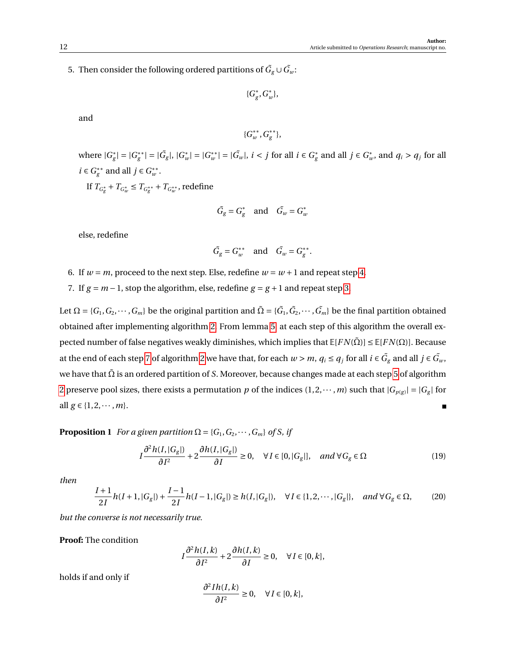<span id="page-11-2"></span>5. Then consider the following ordered partitions of  $\tilde{G}_{g} \cup \tilde{G}_{w}$ :

{*G* ∗ *g* ,*G* ∗ *w* },

and

$$
\{G^{**}_{w}, G^{**}_{g}\},
$$

where  $|G_{\varrho}^*|$  $|g| = |G_g^{**}|$  $|g^*| = |\tilde{G}_g|, |G_u^*|$  $|w| = |G_w^{**}|$  $|w^*| = |\tilde{G}_w|, i < j$  for all  $i \in G_g^*$  $g$ <sup>\*</sup><sub>g</sub> and all *j* ∈  $G$ <sup>\*</sup><sub>*u*</sub>  $\int_{w}^{*}$ , and  $q_i > q_j$  for all *i* ∈  $G^{**}_{\sigma}$  $g^*$ <sup>\*</sup> and all *j* ∈  $G^*$ <sup>\*</sup> *w* .

If  $T_{G^*_g} + T_{G^*_w} \le T_{G^{**}_g} + T_{G^{**}_w}$ , redefine

$$
\tilde{G}_g = G_g^* \quad \text{and} \quad \tilde{G}_w = G_w^*
$$

else, redefine

$$
\tilde{G}_g = G_w^{**} \quad \text{and} \quad \tilde{G}_w = G_g^{**}.
$$

6. If  $w = m$ , proceed to the next step. Else, redefine  $w = w + 1$  and repeat step [4.](#page-10-1)

<span id="page-11-1"></span>7. If  $g = m - 1$ , stop the algorithm, else, redefine  $g = g + 1$  and repeat step [3.](#page-10-2)

Let  $\Omega = \{G_1, G_2, \cdots, G_m\}$  be the original partition and  $\tilde\Omega = \{\tilde G_1, \tilde G_2, \cdots, \tilde G_m\}$  be the final partition obtained obtained after implementing algorithm [2.](#page-10-3) From lemma [5,](#page-7-2) at each step of this algorithm the overall expected number of false negatives weakly diminishes, which implies that  $E[FN(\overline{\Omega})] \leq E[FN(\Omega)]$ . Because at the end of each step [7](#page-11-1) of algorithm [2](#page-10-3) we have that, for each  $w > m$ ,  $q_i \le q_j$  for all  $i \in \tilde{G}_g$  and all  $j \in \tilde{G}_w$ , we have that Ω˜ is an ordered partition of *S*. Moreover, because changes made at each step [5](#page-11-2) of algorithm [2](#page-10-3) preserve pool sizes, there exists a permutation p of the indices  $(1, 2, \dots, m)$  such that  $|G_{p(g)}| = |G_g|$  for all *g* ∈ {1, 2, ···, *m*}.

<span id="page-11-0"></span>**Proposition 1** *For a given partition*  $\Omega = \{G_1, G_2, \dots, G_m\}$  *of S, if* 

<span id="page-11-3"></span>
$$
I\frac{\partial^2 h(I, |G_g|)}{\partial I^2} + 2\frac{\partial h(I, |G_g|)}{\partial I} \ge 0, \quad \forall I \in [0, |G_g|], \quad and \ \forall G_g \in \Omega
$$
 (19)

*then*

<span id="page-11-4"></span>
$$
\frac{I+1}{2I}h(I+1,|G_g|) + \frac{I-1}{2I}h(I-1,|G_g|) \ge h(I,|G_g|), \quad \forall I \in \{1,2,\cdots,|G_g|\}, \quad and \ \forall G_g \in \Omega,
$$
 (20)

*but the converse is not necessarily true.*

**Proof:** The condition

$$
I\frac{\partial^2 h(I,k)}{\partial I^2} + 2\frac{\partial h(I,k)}{\partial I} \ge 0, \quad \forall I \in [0,k],
$$

holds if and only if

$$
\frac{\partial^2 Ih(I,k)}{\partial I^2} \ge 0, \quad \forall I \in [0,k],
$$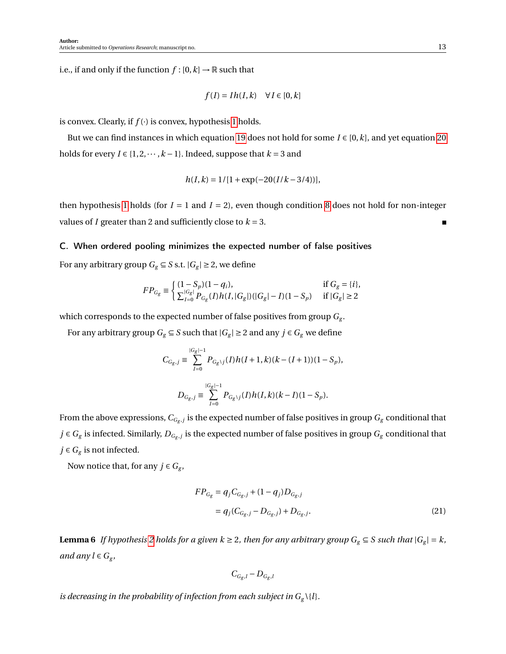i.e., if and only if the function  $f : [0, k] \rightarrow \mathbb{R}$  such that

$$
f(I) = Ih(I, k) \quad \forall I \in [0, k]
$$

is convex. Clearly, if  $f(\cdot)$  is convex, hypothesis [1](#page-0-0) holds.

But we can find instances in which equation [19](#page-11-3) does not hold for some  $I \in [0, k]$ , and yet equation [20](#page-11-4) holds for every *I* ∈ {1, 2, ··· ,  $k-1$ }. Indeed, suppose that  $k = 3$  and

$$
h(I, k) = 1/[1 + \exp(-20(I/k - 3/4))],
$$

then hypothesis [1](#page-0-0) holds (for  $I = 1$  and  $I = 2$ ), even though condition [8](#page-0-0) does not hold for non-integer values of *I* greater than 2 and sufficiently close to  $k = 3$ .

#### <span id="page-12-0"></span>C. When ordered pooling minimizes the expected number of false positives

For any arbitrary group  $G_g \subseteq S$  s.t.  $|G_g| \geq 2$ , we define

$$
FP_{\scriptscriptstyle G_g} \equiv \begin{cases} (1-S_p)(1-q_i), & \text{if $G_g=\{i\}$,} \\ \sum_{I=0}^{|G_g|} P_{\scriptscriptstyle G_g}(I)h(I,|G_g|)(|G_g|-I)(1-S_p) & \text{if $|G_g|\geq 2$} \end{cases}
$$

which corresponds to the expected number of false positives from group *G<sup>g</sup>* .

For any arbitrary group  $G_g \subseteq S$  such that  $|G_g| \geq 2$  and any  $j \in G_g$  we define

$$
C_{G_g,j} \equiv \sum_{I=0}^{|G_g|-1} P_{G_g \setminus j}(I) h(I+1,k)(k-(I+1))(1-S_p),
$$
  

$$
D_{G_g,j} \equiv \sum_{I=0}^{|G_g|-1} P_{G_g \setminus j}(I) h(I,k)(k-I)(1-S_p).
$$

From the above expressions,  $C_{G_{g},j}$  is the expected number of false positives in group  $G_{g}$  conditional that *j* ∈  $G_g$  is infected. Similarly,  $D_{G_g,j}$  is the expected number of false positives in group  $G_g$  conditional that *j* ∈  $G_g$  is not infected.

Now notice that, for any  $j \in G_g$ ,

$$
FP_{G_g} = q_j C_{G_g, j} + (1 - q_j) D_{G_g, j}
$$
  
=  $q_j (C_{G_g, j} - D_{G_g, j}) + D_{G_g, j}$ . (21)

<span id="page-12-1"></span>**Lemma 6** *If hypothesis* [2](#page-0-0) *holds for a given*  $k \ge 2$ , *then for any arbitrary group*  $G_g \subseteq S$  *such that*  $|G_g| = k$ , *and any*  $l \in G_g$ ,

$$
C_{G_g,l} - D_{G_g,l}
$$

*is decreasing in the probability of infection from each subject in*  $G_g \setminus \{l\}$ *.*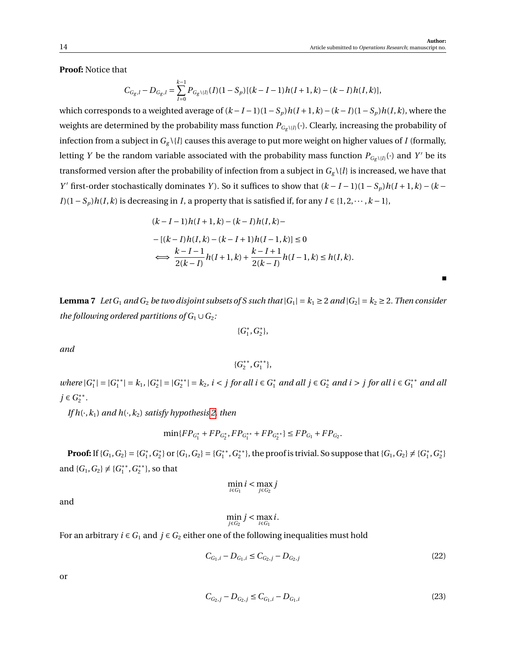**Proof:** Notice that

$$
C_{G_g,l} - D_{G_g,l} = \sum_{I=0}^{k-1} P_{G_g \setminus \{l\}}(I)(1 - S_p)[(k - I - 1)h(I + 1, k) - (k - I)h(I, k)],
$$

which corresponds to a weighted average of  $(k - I - 1)(1 - S_p)h(I + 1, k) - (k - I)(1 - S_p)h(I, k)$ , where the weights are determined by the probability mass function  $P_{G_g \setminus \{l\}}(\cdot)$ . Clearly, increasing the probability of infection from a subject in  $G_g \setminus \{l\}$  causes this average to put more weight on higher values of *I* (formally, letting *Y* be the random variable associated with the probability mass function  $P_{G_g \setminus \{l\}}(\cdot)$  and *Y'* be its transformed version after the probability of infection from a subject in  $G_g \setminus \{l\}$  is increased, we have that *Y*' first-order stochastically dominates *Y*). So it suffices to show that  $(k - I - 1)(1 - S_p)h(I + 1, k) - (k - I)h(I + 1, k)$ *I*)(1−*S<sub><i>p*</sub>) $h(I, k)$  is decreasing in *I*, a property that is satisfied if, for any  $I \in \{1, 2, \dots, k-1\}$ ,

$$
(k - I - 1)h(I + 1, k) - (k - I)h(I, k) -
$$
  
– [(k – I)h(I, k) – (k – I + 1)h(I – 1, k)] ≤ 0  

$$
\iff \frac{k - I - 1}{2(k - I)}h(I + 1, k) + \frac{k - I + 1}{2(k - I)}h(I - 1, k) \le h(I, k).
$$

<span id="page-13-2"></span>**Lemma 7** Let  $G_1$  and  $G_2$  be two disjoint subsets of S such that  $|G_1| = k_1 \geq 2$  and  $|G_2| = k_2 \geq 2$ . Then consider *the following ordered partitions of*  $G_1 \cup G_2$ *:* 

> {*G* ∗  $f_1^*, G_2^*$  $_{2}^{\ast}\},$

*and*

$$
\{G_2^{**}, G_1^{**}\},
$$

*where*  $|G_1^*|$  $|_1^*| = |G_1^{**}|$  $|S_1^{**}| = k_1, |G_2^*|$  $|S_2^*| = |G_2^{**}|$  $|z^*| = k_2$ , *i* < *j* for all *i* ∈  $G_1^*$  and all *j* ∈  $G_2^*$  and *i* > *j* for all *i* ∈  $G_1^{**}$  and all *j* ∈  $G_2$ <sup>\*\*</sup> 2 *.*

*If*  $h(\cdot, k_1)$  *and*  $h(\cdot, k_2)$  *satisfy hypothesis* 2*, then* 

$$
\min\{FP_{G_1^*} + FP_{G_2^*}, FP_{G_1^{**}} + FP_{G_2^{**}}\} \le FP_{G_1} + FP_{G_2}.
$$

**Proof:** If  $\{G_1, G_2\} = \{G_1^*$  $_1^*, G_2^*$ <sup>\*</sup><sub>2</sub>} or {*G*<sub>1</sub>, *G*<sub>2</sub>} = {*G*<sub>1</sub><sup>\*\*</sup> 1 ,*G* ∗∗ <sup>\*\*</sup>}, the proof is trivial. So suppose that  $\{G_1, G_2\} \neq \{G_1^*$  $_1^*, G_2^*$  $\begin{bmatrix} * \\ 2 \end{bmatrix}$ and  ${G_1, G_2} \neq {G_1^*}^*$ 1 ,*G* ∗∗  $\binom{**}{2}$ , so that

$$
\min_{i \in G_1} i < \max_{j \in G_2} j
$$

and

<span id="page-13-1"></span><span id="page-13-0"></span>
$$
\min_{j\in G_2}j<\max_{i\in G_1}i.
$$

For an arbitrary  $i \in G_1$  and  $j \in G_2$  either one of the following inequalities must hold

$$
C_{G_1,i} - D_{G_1,i} \le C_{G_2,j} - D_{G_2,j}
$$
\n<sup>(22)</sup>

or

$$
C_{G_2,j} - D_{G_2,j} \le C_{G_1,i} - D_{G_1,i}
$$
\n(23)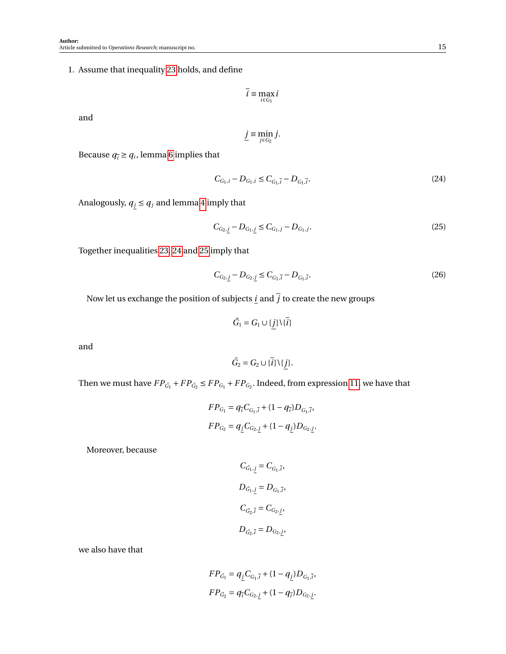<span id="page-14-3"></span>1. Assume that inequality [23](#page-13-0) holds, and define

$$
\overline{i} \equiv \max_{i \in G_1} i
$$

and

$$
\underline{j}\equiv \min_{j\in G_2}j.
$$

Because  $q_{\bar{i}} \geq q_i$ , lemma [6](#page-12-1) implies that

<span id="page-14-0"></span>
$$
C_{G_1,i} - D_{G_1,i} \le C_{G_1,\bar{i}} - D_{G_1,\bar{i}}.\tag{24}
$$

Analogously,  $q_j \le q_j$  and lemma [4](#page-7-0) imply that

<span id="page-14-1"></span>
$$
C_{G_2,j} - D_{G_1,j} \le C_{G_1,j} - D_{G_1,j}.\tag{25}
$$

Together inequalities [23,](#page-13-0) [24](#page-14-0) and [25](#page-14-1) imply that

<span id="page-14-2"></span>
$$
C_{G_2,j} - D_{G_2,j} \le C_{G_1,\bar{i}} - D_{G_1,\bar{i}}.\tag{26}
$$

Now let us exchange the position of subjects <u>*i*</u> and  $\overline{j}$  to create the new groups

$$
\tilde{G}_1 = G_1 \cup \{j\} \setminus \{\overline{i}\}
$$

and

$$
\tilde{G}_2 = G_2 \cup \{\overline{i}\} \setminus \{j\}.
$$

Then we must have  $FP_{\tilde{G}_1} + FP_{\tilde{G}_2} \leq FP_{G_1} + FP_{G_2}$ . Indeed, from expression [11,](#page-7-1) we have that

$$
FP_{G_1} = q_{\bar{i}}C_{G_1,\bar{i}} + (1 - q_{\bar{i}})D_{G_1,\bar{i}},
$$
  

$$
FP_{G_2} = q_jC_{G_2,j} + (1 - q_j)D_{G_2,j}.
$$

Moreover, because

$$
C_{\tilde{G}_1, \underline{j}} = C_{G_1, \overline{i}},
$$
  

$$
D_{\tilde{G}_1, \underline{j}} = D_{G_1, \overline{i}},
$$
  

$$
C_{\tilde{G}_2, \overline{i}} = C_{G_2, \underline{j}},
$$
  

$$
D_{\tilde{G}_2, \overline{i}} = D_{G_2, \underline{j}},
$$

we also have that

$$
FP_{\tilde{G}_1} = q_{\underline{j}} C_{G_1, \bar{i}} + (1 - q_{\underline{j}}) D_{G_1, \bar{i}},
$$
  

$$
FP_{\tilde{G}_2} = q_{\bar{i}} C_{G_2, j} + (1 - q_{\bar{i}}) D_{G_2, j}.
$$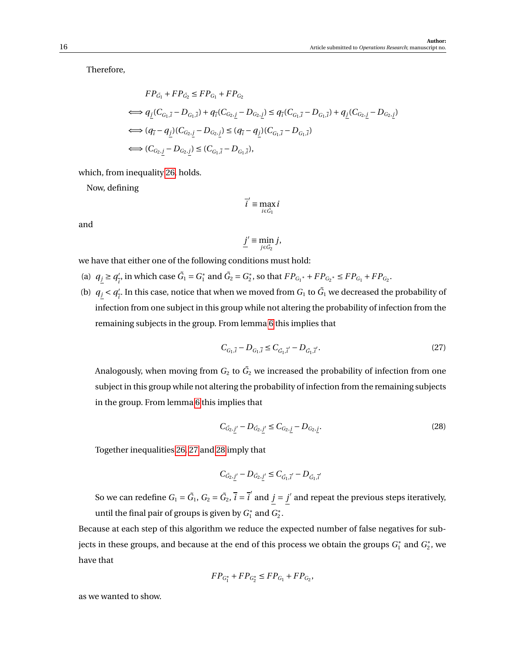Therefore,

$$
FP_{\tilde{G}_1} + FP_{\tilde{G}_2} \le FP_{G_1} + FP_{G_2}
$$
  
\n
$$
\iff q_j(C_{G_1,\overline{i}} - D_{G_1,\overline{i}}) + q_{\overline{i}}(C_{G_2,\underline{j}} - D_{G_2,\underline{j}}) \le q_{\overline{i}}(C_{G_1,\overline{i}} - D_{G_1,\overline{i}}) + q_{\underline{j}}(C_{G_2,\underline{j}} - D_{G_2,\underline{j}})
$$
  
\n
$$
\iff (q_{\overline{i}} - q_{\underline{j}})(C_{G_2,\underline{j}} - D_{G_2,\underline{j}}) \le (q_{\overline{i}} - q_{\underline{j}})(C_{G_1,\overline{i}} - D_{G_1,\overline{i}})
$$
  
\n
$$
\iff (C_{G_2,\underline{j}} - D_{G_2,\underline{j}}) \le (C_{G_1,\overline{i}} - D_{G_1,\overline{i}}),
$$

which, from inequality [26,](#page-14-2) holds.

Now, defining

$$
\overline{i}' \equiv \max_{i \in \tilde{G_1}} i
$$

and

$$
\underline{j}' \equiv \min_{j \in \tilde{G}_2} j,
$$

we have that either one of the following conditions must hold:

- (a)  $q_j \ge q_j^j$  $\frac{7}{i}$ , in which case  $\tilde{G}_1 = G_1^*$  $G_1^*$  and  $\tilde{G}_2 = G_2^*$  ${}_{2}^{*}$ , so that  $FP_{G_1}$ <sup>\*</sup> +  $FP_{G_2}$ <sup>\*</sup>  $\leq FP_{G_1}$  +  $FP_{G_2}$ .
- (b)  $q_j < q_j'$  $\frac{1}{l}$ . In this case, notice that when we moved from  $G_1$  to  $\tilde{G_1}$  we decreased the probability of infection from one subject in this group while not altering the probability of infection from the remaining subjects in the group. From lemma [6](#page-12-1) this implies that

<span id="page-15-0"></span>
$$
C_{G_1,\bar{i}} - D_{G_1,\bar{i}} \le C_{\tilde{G}_1,\bar{i}'} - D_{\tilde{G}_1,\bar{i}'}. \tag{27}
$$

Analogously, when moving from  $G_2$  to  $\tilde{G_2}$  we increased the probability of infection from one subject in this group while not altering the probability of infection from the remaining subjects in the group. From lemma [6](#page-12-1) this implies that

<span id="page-15-1"></span>
$$
C_{\tilde{G}_2,j'} - D_{\tilde{G}_2,j'} \le C_{G_2,j} - D_{G_2,j}.
$$
\n(28)

Together inequalities [26,](#page-14-2) [27](#page-15-0) and [28](#page-15-1) imply that

$$
C_{\tilde{G_2}, \underline{j}'} - D_{\tilde{G_2}, \underline{j}'} \leq C_{\tilde{G_1}, \overline{i}'} - D_{\tilde{G_1}, \overline{i}'}
$$

So we can redefine  $G_1 = \tilde{G}_1$ ,  $G_2 = \tilde{G}_2$ ,  $\bar{i} = \bar{i}^{'}$  and  $j = j'$  and repeat the previous steps iteratively, until the final pair of groups is given by *G* ∗  $G_2^*$  and  $G_2^*$  $\frac{*}{2}$ .

Because at each step of this algorithm we reduce the expected number of false negatives for subjects in these groups, and because at the end of this process we obtain the groups *G* ∗  $G_1^*$  and  $G_2^*$  $_2^*$ , we have that

$$
FP_{G_1^*} + FP_{G_2^*} \le FP_{G_1} + FP_{G_2},
$$

as we wanted to show.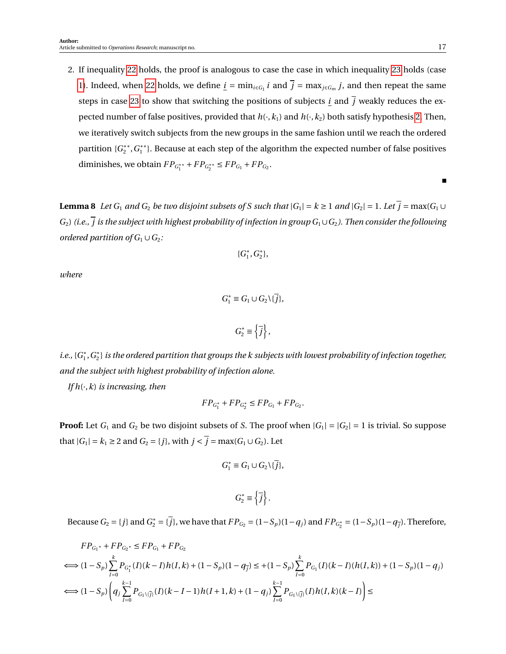2. If inequality [22](#page-13-1) holds, the proof is analogous to case the case in which inequality [23](#page-13-0) holds (case [1\)](#page-14-3). Indeed, when [22](#page-13-1) holds, we define  $\underline{i} = \min_{i \in G_1} i$  and  $\overline{j} = \max_{j \in G_m} j$ , and then repeat the same steps in case [23](#page-13-0) to show that switching the positions of subjects *i* and  $\overline{j}$  weakly reduces the expected number of false positives, provided that  $h(\cdot, k_1)$  and  $h(\cdot, k_2)$  both satisfy hypothesis [2.](#page-0-0) Then, we iteratively switch subjects from the new groups in the same fashion until we reach the ordered partition {*G*<sup>\*</sup><sup>\*</sup>  $i_2^{**}, G_1^{**}$  $_{1}^{\ast\ast\,\}$ . Because at each step of the algorithm the expected number of false positives diminishes, we obtain  $FP_{G_1^{**}} + FP_{G_2^{**}} \leq FP_{G_1} + FP_{G_2}$ .

<span id="page-16-0"></span>**Lemma 8** *Let*  $G_1$  *and*  $G_2$  *be two disjoint subsets of S such that*  $|G_1| = k \ge 1$  *and*  $|G_2| = 1$ *. Let*  $\overline{j} = \max(G_1 \cup G_2)$  $G_2$ ) (i.e.,  $\overline{j}$  is the subject with highest probability of infection in group  $G_1 \cup G_2$ ). Then consider the following *ordered partition of*  $G_1 \cup G_2$ *:* 

$$
\{G_1^*, G_2^*\},
$$

*where*

$$
G_1^* \equiv G_1 \cup G_2 \setminus \{ \overline{j} \},\
$$

 $G_2^* \equiv \left\{ \overrightarrow{j} \right\},\$ 

*i.e.*, { $G_1^*$  $_1^*, G_2^*$  $_{2}^{\ast}$ } is the ordered partition that groups the k subjects with lowest probability of infection together, *and the subject with highest probability of infection alone.*

*If h*(·,*k*) *is increasing, then*

$$
FP_{G_1^*} + FP_{G_2^*} \le FP_{G_1} + FP_{G_2}.
$$

**Proof:** Let  $G_1$  and  $G_2$  be two disjoint subsets of *S*. The proof when  $|G_1| = |G_2| = 1$  is trivial. So suppose that  $|G_1| = k_1 ≥ 2$  and  $G_2 = \{j\}$ , with  $j < \overline{j} = \max(G_1 \cup G_2)$ . Let

$$
G_1^* \equiv G_1 \cup G_2 \setminus \{ \overline{j} \},
$$

$$
G_2^* \equiv \left\{ \overline{j} \right\}.
$$

Because  $G_2 = \{j\}$  and  $G_2^* = \{\overline{j}\}\}$ , we have that  $FP_{G_2} = (1 - S_p)(1 - q_j)$  and  $FP_{G_2^*} = (1 - S_p)(1 - q_{\overline{j}})$ . Therefore,

$$
FP_{G_1^*} + FP_{G_2^*} \le FP_{G_1} + FP_{G_2}
$$
  
\n
$$
\iff (1 - S_p) \sum_{I=0}^k P_{G_1^*}(I)(k - I)h(I, k) + (1 - S_p)(1 - q_{\overline{j}}) \le +(1 - S_p) \sum_{I=0}^k P_{G_1}(I)(k - I)(h(I, k)) + (1 - S_p)(1 - q_j)
$$
  
\n
$$
\iff (1 - S_p) \left( q_j \sum_{I=0}^{k-1} P_{G_1 \setminus \{ \overline{j} \}}(I)(k - I - 1)h(I + 1, k) + (1 - q_j) \sum_{I=0}^{k-1} P_{G_1 \setminus \{ \overline{j} \}}(I)h(I, k)(k - I) \right) \le
$$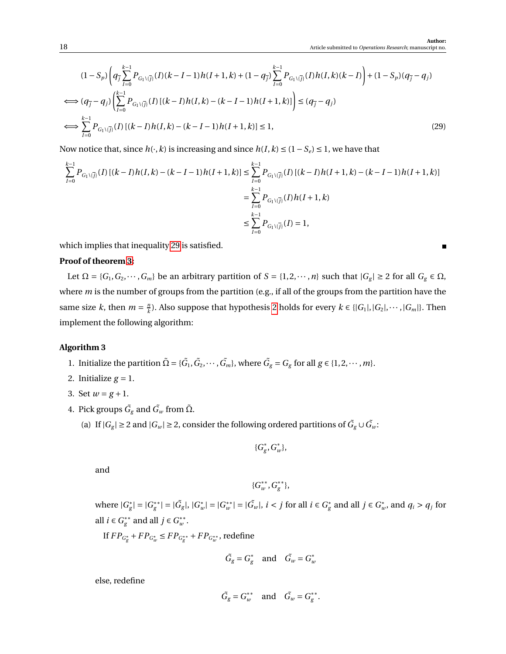$$
(1 - S_p) \left( q_{\overline{j}} \sum_{l=0}^{k-1} P_{G_1 \setminus \{j\}}(I)(k - I - 1)h(I + 1, k) + (1 - q_{\overline{j}}) \sum_{l=0}^{k-1} P_{G_1 \setminus \{j\}}(I)h(I, k)(k - I) \right) + (1 - S_p)(q_{\overline{j}} - q_j)
$$
  
\n
$$
\iff (q_{\overline{j}} - q_j) \left( \sum_{l=0}^{k-1} P_{G_1 \setminus \{j\}}(I)(k - I)h(I, k) - (k - I - 1)h(I + 1, k) \right) \leq (q_{\overline{j}} - q_j)
$$
  
\n
$$
\iff \sum_{l=0}^{k-1} P_{G_1 \setminus \{j\}}(I)(k - I)h(I, k) - (k - I - 1)h(I + 1, k) \leq 1,
$$
\n(29)

Now notice that, since  $h(\cdot, k)$  is increasing and since  $h(I, k) \leq (1 - S_e) \leq 1$ , we have that

$$
\begin{aligned} \sum_{I=0}^{k-1} P_{G_1\backslash\{\overline{j}\}}(I) \left[ (k-I)h(I,k) - (k-I-1)h(I+1,k) \right] &\leq \sum_{I=0}^{k-1} P_{G_1\backslash\{\overline{j}\}}(I) \left[ (k-I)h(I+1,k) - (k-I-1)h(I+1,k) \right] \\ &= \sum_{I=0}^{k-1} P_{G_1\backslash\{\overline{j}\}}(I)h(I+1,k) \\ &\leq \sum_{I=0}^{k-1} P_{G_1\backslash\{\overline{j}\}}(I) = 1, \end{aligned}
$$

which implies that inequality [29](#page-17-0) is satisfied.

## **Proof of theorem [3:](#page-0-0)**

Let  $\Omega = \{G_1, G_2, \dots, G_m\}$  be an arbitrary partition of  $S = \{1, 2, \dots, n\}$  such that  $|G_g| \ge 2$  for all  $G_g \in \Omega$ , where *m* is the number of groups from the partition (e.g., if all of the groups from the partition have the same size *k*, then  $m = \frac{m}{k}$ *k*). Also suppose that hypothesis [2](#page-0-0) holds for every  $k \in \{ |G_1|, |G_2|, \dots, |G_m| \}$ . Then implement the following algorithm:

#### **Algorithm 3**

- <span id="page-17-3"></span>1. Initialize the partition  $\tilde{\Omega} = {\{\tilde{G}_1, \tilde{G}_2, \cdots, \tilde{G}_m\}}$ , where  $\tilde{G}_g = G_g$  for all  $g \in \{1, 2, \cdots, m\}$ .
- 2. Initialize  $g = 1$ .
- <span id="page-17-2"></span>3. Set  $w = g + 1$ .
- <span id="page-17-4"></span><span id="page-17-1"></span>4. Pick groups  $\tilde{G_{g}}$  and  $\tilde{G_{w}}$  from  $\tilde{\Omega}$ .
	- (a) If  $|G_g| \ge 2$  and  $|G_w| \ge 2$ , consider the following ordered partitions of  $\tilde{G}_g \cup \tilde{G}_w$ :

$$
\{G^*_g, G^*_w\},\
$$

and

$$
\{G^{**}_{w}, G^{**}_{g}\},
$$

where  $|G_{\varrho}^*|$  $|g| = |G_g^{**}|$  $|g^*| = |\tilde{G}_g|, |G_u^*|$  $|w|$ <sup>\*</sup> $|G_w^*|$  $|w^*| = |\tilde{G}_w|, i < j \text{ for all } i \in G_g^*$  $\frac{e}{g}$  and all *j* ∈  $G^*$ <sub>*u*</sub>  $w_i$ , and  $q_i > q_j$  for all *i* ∈  $G^{**}_{\varrho}$  $g^*$ <sup>\*</sup> and all *j* ∈  $G^*$ <sup>\*</sup> *w* .

If  $FP_{G^*_g} + FP_{G^*_w} \leq FP_{G^{**}_g} + FP_{G^{**}_w}$ , redefine

$$
\tilde{G}_g = G_g^* \quad \text{and} \quad \tilde{G}_w = G_w^*
$$

else, redefine

$$
\tilde{G}_g = G_w^{**} \quad \text{and} \quad \tilde{G}_w = G_g^{**}.
$$

<span id="page-17-0"></span>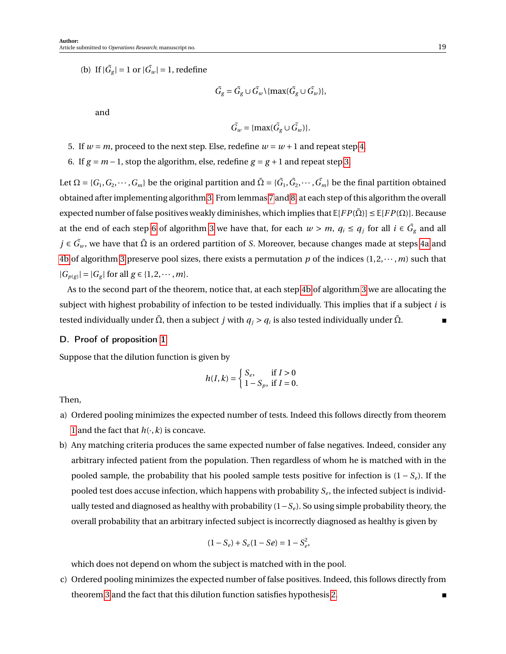<span id="page-18-2"></span>(b) If  $|\tilde{G}_g| = 1$  or  $|\tilde{G}_w| = 1$ , redefine

$$
\tilde{G}_g = \tilde{G}_g \cup \tilde{G}_w \setminus \{\max(\tilde{G}_g \cup \tilde{G}_w)\},\
$$

and

$$
\tilde{G}_w = \{\max(\tilde{G}_g \cup \tilde{G}_w)\}.
$$

- 5. If  $w = m$ , proceed to the next step. Else, redefine  $w = w + 1$  and repeat step [4.](#page-17-1)
- <span id="page-18-1"></span>6. If  $g = m - 1$ , stop the algorithm, else, redefine  $g = g + 1$  and repeat step [3.](#page-17-2)

Let  $\Omega = \{G_1, G_2, \cdots, G_m\}$  be the original partition and  $\tilde\Omega = \{\tilde G_1, \tilde G_2, \cdots, \tilde G_m\}$  be the final partition obtained obtained after implementing algorithm [3.](#page-17-3) From lemmas [7](#page-13-2) and [8,](#page-16-0) at each step of this algorithm the overall expected number of false positives weakly diminishes, which implies that  $\mathbb{E}[FP(\tilde{\Omega})] \leq \mathbb{E}[FP(\Omega)]$ . Because at the end of each step [6](#page-18-1) of algorithm [3](#page-17-3) we have that, for each  $w > m$ ,  $q_i \le q_j$  for all  $i \in \tilde{G}_g$  and all *j* ∈  $\tilde{G}_w$ , we have that  $\tilde{\Omega}$  is an ordered partition of *S*. Moreover, because changes made at steps [4a](#page-17-4) and [4b](#page-18-2) of algorithm [3](#page-17-3) preserve pool sizes, there exists a permutation p of the indices  $(1, 2, \dots, m)$  such that  $|G_{p(g)}| = |G_g|$  for all  $g \in \{1, 2, \dots, m\}.$ 

As to the second part of the theorem, notice that, at each step [4b](#page-18-2) of algorithm [3](#page-17-3) we are allocating the subject with highest probability of infection to be tested individually. This implies that if a subject *i* is tested individually under  $\tilde{\Omega}$ , then a subject  $j$  with  $q_j$  >  $q_i$  is also tested individually under  $\tilde{\Omega}$ .  $\blacksquare$ 

## <span id="page-18-0"></span>D. Proof of proposition [1](#page-11-0)

Suppose that the dilution function is given by

$$
h(I, k) = \begin{cases} S_e, & \text{if } I > 0 \\ 1 - S_p, & \text{if } I = 0. \end{cases}
$$

Then,

- a) Ordered pooling minimizes the expected number of tests. Indeed this follows directly from theorem [1](#page-0-0) and the fact that  $h(\cdot, k)$  is concave.
- b) Any matching criteria produces the same expected number of false negatives. Indeed, consider any arbitrary infected patient from the population. Then regardless of whom he is matched with in the pooled sample, the probability that his pooled sample tests positive for infection is (1 − *S<sup>e</sup>* ). If the pooled test does accuse infection, which happens with probability  $\mathcal{S}_{e}$ , the infected subject is individually tested and diagnosed as healthy with probability (1−*S*<sup>*e*</sup>). So using simple probability theory, the overall probability that an arbitrary infected subject is incorrectly diagnosed as healthy is given by

$$
(1 - S_e) + S_e(1 - Se) = 1 - S_e^2,
$$

which does not depend on whom the subject is matched with in the pool.

c) Ordered pooling minimizes the expected number of false positives. Indeed, this follows directly from theorem [3](#page-0-0) and the fact that this dilution function satisfies hypothesis [2.](#page-0-0)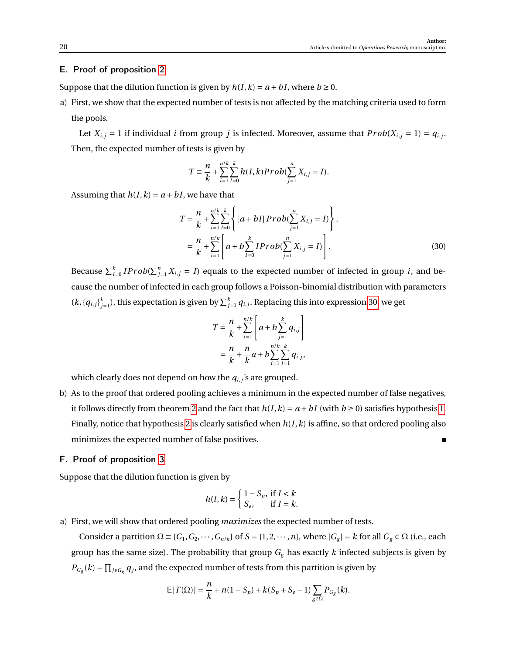## <span id="page-19-0"></span>E. Proof of proposition [2](#page-0-0)

Suppose that the dilution function is given by  $h(I, k) = a + bI$ , where  $b \ge 0$ .

a) First, we show that the expected number of tests is not affected by the matching criteria used to form the pools.

Let  $X_{i,j} = 1$  if individual *i* from group *j* is infected. Moreover, assume that  $Prob(X_{i,j} = 1) = q_{i,j}$ . Then, the expected number of tests is given by

$$
T = \frac{n}{k} + \sum_{i=1}^{n/k} \sum_{I=0}^{k} h(I,k) Prob(\sum_{j=1}^{n} X_{i,j} = I).
$$

Assuming that  $h(I, k) = a + bI$ , we have that

$$
T = \frac{n}{k} + \sum_{i=1}^{n/k} \sum_{I=0}^{k} \left\{ [a + bI] \, Prob(\sum_{j=1}^{n} X_{i,j} = I) \right\}.
$$
  
= 
$$
\frac{n}{k} + \sum_{i=1}^{n/k} \left[ a + b \sum_{I=0}^{k} IProb(\sum_{j=1}^{n} X_{i,j} = I) \right].
$$
 (30)

Because  $\sum_{I=0}^{k} IProb(\sum_{j=1}^{n} X_{i,j} = I)$  equals to the expected number of infected in group *i*, and because the number of infected in each group follows a Poisson-binomial distribution with parameters  $(k, {q_{i,j}}_{j=1}^k)$ , this expectation is given by  $\sum_{j=1}^k q_{i,j}$ . Replacing this into expression [30,](#page-19-2) we get

<span id="page-19-2"></span>
$$
T = \frac{n}{k} + \sum_{i=1}^{n/k} \left[ a + b \sum_{j=1}^{k} q_{i,j} \right]
$$
  
=  $\frac{n}{k} + \frac{n}{k} a + b \sum_{i=1}^{n/k} \sum_{j=1}^{k} q_{i,j}$ ,

which clearly does not depend on how the  $q_{i,j}$ 's are grouped.

b) As to the proof that ordered pooling achieves a minimum in the expected number of false negatives, it follows directly from theorem [2](#page-0-0) and the fact that  $h(I, k) = a + bI$  (with  $b \ge 0$ ) satisfies hypothesis [1.](#page-0-0) Finally, notice that hypothesis [2](#page-0-0) is clearly satisfied when *h*(*I*,*k*) is affine, so that ordered pooling also minimizes the expected number of false positives.

## <span id="page-19-1"></span>F. Proof of proposition [3](#page-0-0)

Suppose that the dilution function is given by

$$
h(l,k) = \begin{cases} 1 - S_p, & \text{if } l < k \\ S_e, & \text{if } l = k. \end{cases}
$$

a) First, we will show that ordered pooling *maximizes* the expected number of tests.

Consider a partition  $\Omega = \{G_1, G_2, \dots, G_{n/k}\}\$  of  $S = \{1, 2, \dots, n\}$ , where  $|G_g| = k$  for all  $G_g \in \Omega$  (i.e., each group has the same size). The probability that group  $G_g$  has exactly  $k$  infected subjects is given by  $P_{G_g}(k) = \prod_{j \in G_g} q_j$ , and the expected number of tests from this partition is given by

$$
\mathbb{E}[T(\Omega)] = \frac{n}{k} + n(1 - S_p) + k(S_p + S_e - 1) \sum_{g \in \Omega} P_{G_g}(k).
$$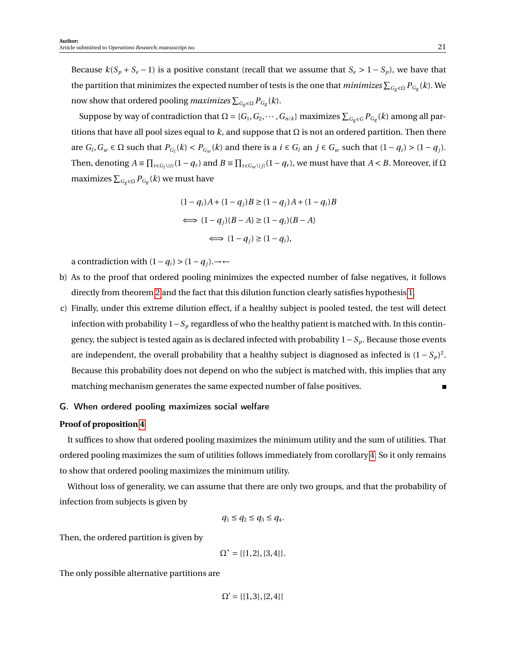Because  $k(S_p + S_e - 1)$  is a positive constant (recall that we assume that  $S_e > 1 - S_p$ ), we have that the partition that minimizes the expected number of tests is the one that  $minimizes$   $\sum_{G_g\in\Omega}P_{G_g}(k).$  We now show that ordered pooling  $maximizes\sum_{G_g\in\Omega}P_{G_g}(k).$ 

Suppose by way of contradiction that  $\Omega = \{G_1, G_2, \dots, G_{n/k}\}\$  maximizes  $\sum_{G_g \in G} P_{G_g}(k)$  among all partitions that have all pool sizes equal to *k*, and suppose that Ω is not an ordered partition. Then there are  $G_l$ ,  $G_w \in \Omega$  such that  $P_{G_l}(k) < P_{G_w}(k)$  and there is a  $i \in G_l$  an  $j \in G_w$  such that  $(1 - q_i) > (1 - q_j)$ . Then, denoting  $A = \prod_{\tau \in G_l \setminus \{i\}} (1 - q_\tau)$  and  $B = \prod_{\tau \in G_w \setminus \{j\}} (1 - q_\tau)$ , we must have that  $A < B$ . Moreover, if  $\Omega$ maximizes  $\sum_{G_g \in \Omega} P_{G_g}(k)$  we must have

$$
(1 - qi)A + (1 - qj)B \ge (1 - qj)A + (1 - qi)B
$$
  

$$
\iff (1 - qj)(B - A) \ge (1 - qi)(B - A)
$$
  

$$
\iff (1 - qj) \ge (1 - qi),
$$

a contradiction with  $(1 - q_i) > (1 - q_j)$ .→←

- b) As to the proof that ordered pooling minimizes the expected number of false negatives, it follows directly from theorem [2](#page-0-0) and the fact that this dilution function clearly satisfies hypothesis [1.](#page-0-0)
- c) Finally, under this extreme dilution effect, if a healthy subject is pooled tested, the test will detect infection with probability 1−*S<sup>p</sup>* regardless of who the healthy patient is matched with. In this contingency, the subject is tested again as is declared infected with probability 1−*S<sup>p</sup>* . Because those events are independent, the overall probability that a healthy subject is diagnosed as infected is  $(1 - S_p)^2$ . Because this probability does not depend on who the subject is matched with, this implies that any matching mechanism generates the same expected number of false positives.

## <span id="page-20-0"></span>G. When ordered pooling maximizes social welfare

## **Proof of proposition [4](#page-0-0)**

It suffices to show that ordered pooling maximizes the minimum utility and the sum of utilities. That ordered pooling maximizes the sum of utilities follows immediately from corollary [4.](#page-0-0) So it only remains to show that ordered pooling maximizes the minimum utility.

Without loss of generality, we can assume that there are only two groups, and that the probability of infection from subjects is given by

$$
q_1 \le q_2 \le q_3 \le q_4.
$$

Then, the ordered partition is given by

$$
\Omega^* = \{\{1, 2\}, \{3, 4\}\}.
$$

The only possible alternative partitions are

$$
\Omega' = \{\{1,3\},\{2,4\}\}\
$$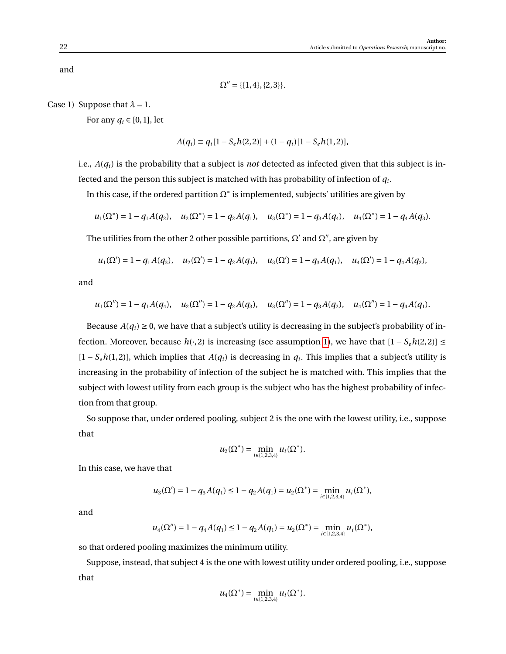and

$$
\Omega'' = \{\{1,4\},\{2,3\}\}.
$$

Case 1) Suppose that  $\lambda = 1$ .

For any  $q_i \in [0, 1]$ , let

$$
A(q_i) \equiv q_i[1 - S_e h(2, 2)] + (1 - q_i)[1 - S_e h(1, 2)],
$$

i.e., *A*(*qi*) is the probability that a subject is *not* detected as infected given that this subject is infected and the person this subject is matched with has probability of infection of  $q_i$ .

In this case, if the ordered partition  $\Omega^*$  is implemented, subjects' utilities are given by

$$
u_1(\Omega^*) = 1 - q_1 A(q_2), \quad u_2(\Omega^*) = 1 - q_2 A(q_1), \quad u_3(\Omega^*) = 1 - q_3 A(q_4), \quad u_4(\Omega^*) = 1 - q_4 A(q_3).
$$

The utilities from the other 2 other possible partitions,  $\Omega'$  and  $\Omega''$ , are given by

$$
u_1(\Omega') = 1 - q_1 A(q_3),
$$
  $u_2(\Omega') = 1 - q_2 A(q_4),$   $u_3(\Omega') = 1 - q_3 A(q_1),$   $u_4(\Omega') = 1 - q_4 A(q_2),$ 

and

$$
u_1(\Omega'') = 1 - q_1 A(q_4),
$$
  $u_2(\Omega'') = 1 - q_2 A(q_3),$   $u_3(\Omega'') = 1 - q_3 A(q_2),$   $u_4(\Omega'') = 1 - q_4 A(q_1).$ 

Because  $A(q_i) \ge 0$ , we have that a subject's utility is decreasing in the subject's probability of infection. Moreover, because  $h(·, 2)$  is increasing (see assumption [1\)](#page-0-0), we have that  $[1 − S_e h(2, 2)] ≤$  $[1 - S_e h(1, 2)]$ , which implies that  $A(q_i)$  is decreasing in  $q_i$ . This implies that a subject's utility is increasing in the probability of infection of the subject he is matched with. This implies that the subject with lowest utility from each group is the subject who has the highest probability of infection from that group.

So suppose that, under ordered pooling, subject 2 is the one with the lowest utility, i.e., suppose that

$$
u_2(\Omega^*) = \min_{i \in \{1,2,3,4\}} u_i(\Omega^*).
$$

In this case, we have that

$$
u_3(\Omega') = 1 - q_3 A(q_1) \leq 1 - q_2 A(q_1) = u_2(\Omega^*) = \min_{i \in \{1,2,3,4\}} u_i(\Omega^*),
$$

and

$$
u_4(\Omega'') = 1 - q_4 A(q_1) \le 1 - q_2 A(q_1) = u_2(\Omega^*) = \min_{i \in \{1,2,3,4\}} u_i(\Omega^*),
$$

so that ordered pooling maximizes the minimum utility.

Suppose, instead, that subject 4 is the one with lowest utility under ordered pooling, i.e., suppose that

$$
u_4(\Omega^*) = \min_{i \in \{1,2,3,4\}} u_i(\Omega^*).
$$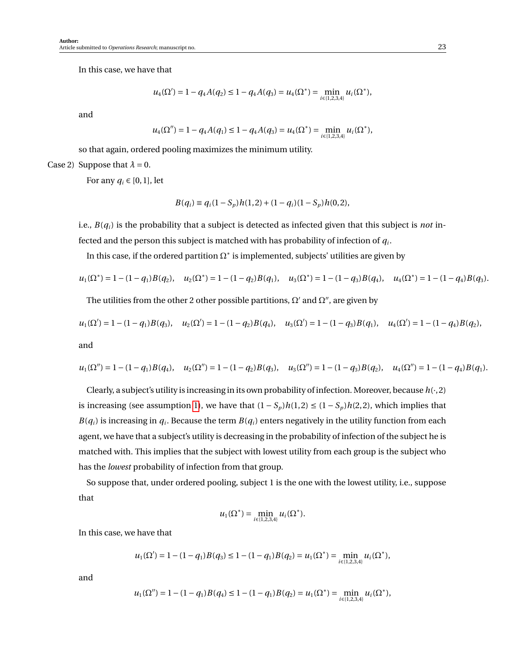In this case, we have that

$$
u_4(\Omega') = 1 - q_4 A(q_2) \leq 1 - q_4 A(q_3) = u_4(\Omega^*) = \min_{i \in \{1,2,3,4\}} u_i(\Omega^*),
$$

and

$$
u_4(\Omega'') = 1 - q_4 A(q_1) \leq 1 - q_4 A(q_3) = u_4(\Omega^*) = \min_{i \in \{1,2,3,4\}} u_i(\Omega^*),
$$

so that again, ordered pooling maximizes the minimum utility.

Case 2) Suppose that  $\lambda = 0$ .

For any  $q_i \in [0,1]$ , let

$$
B(q_i) \equiv q_i(1 - S_p)h(1,2) + (1 - q_i)(1 - S_p)h(0,2),
$$

i.e., *B*(*qi*) is the probability that a subject is detected as infected given that this subject is *not* in-

fected and the person this subject is matched with has probability of infection of *q<sup>i</sup>* .

In this case, if the ordered partition  $\Omega^*$  is implemented, subjects' utilities are given by

$$
u_1(\Omega^*) = 1 - (1 - q_1)B(q_2),
$$
  $u_2(\Omega^*) = 1 - (1 - q_2)B(q_1),$   $u_3(\Omega^*) = 1 - (1 - q_3)B(q_4),$   $u_4(\Omega^*) = 1 - (1 - q_4)B(q_3).$ 

The utilities from the other 2 other possible partitions,  $\Omega'$  and  $\Omega''$ , are given by

$$
u_1(\Omega') = 1 - (1 - q_1)B(q_3),
$$
  $u_2(\Omega') = 1 - (1 - q_2)B(q_4),$   $u_3(\Omega') = 1 - (1 - q_3)B(q_1),$   $u_4(\Omega') = 1 - (1 - q_4)B(q_2),$   
and

$$
u_1(\Omega'') = 1 - (1 - q_1)B(q_4), \quad u_2(\Omega'') = 1 - (1 - q_2)B(q_3), \quad u_3(\Omega'') = 1 - (1 - q_3)B(q_2), \quad u_4(\Omega'') = 1 - (1 - q_4)B(q_1).
$$

Clearly, a subject's utility is increasing in its own probability of infection. Moreover, because  $h(\cdot, 2)$ is increasing (see assumption [1\)](#page-0-0), we have that  $(1 - S_p)h(1, 2) \le (1 - S_p)h(2, 2)$ , which implies that  $B(q_i)$  is increasing in  $q_i$ . Because the term  $B(q_i)$  enters negatively in the utility function from each agent, we have that a subject's utility is decreasing in the probability of infection of the subject he is matched with. This implies that the subject with lowest utility from each group is the subject who has the *lowest* probability of infection from that group.

So suppose that, under ordered pooling, subject 1 is the one with the lowest utility, i.e., suppose that

$$
u_1(\Omega^*) = \min_{i \in \{1,2,3,4\}} u_i(\Omega^*).
$$

In this case, we have that

$$
u_1(\Omega') = 1 - (1 - q_1)B(q_3) \le 1 - (1 - q_1)B(q_2) = u_1(\Omega^*) = \min_{i \in \{1, 2, 3, 4\}} u_i(\Omega^*),
$$

and

$$
u_1(\Omega'') = 1 - (1 - q_1)B(q_4) \le 1 - (1 - q_1)B(q_2) = u_1(\Omega^*) = \min_{i \in \{1, 2, 3, 4\}} u_i(\Omega^*),
$$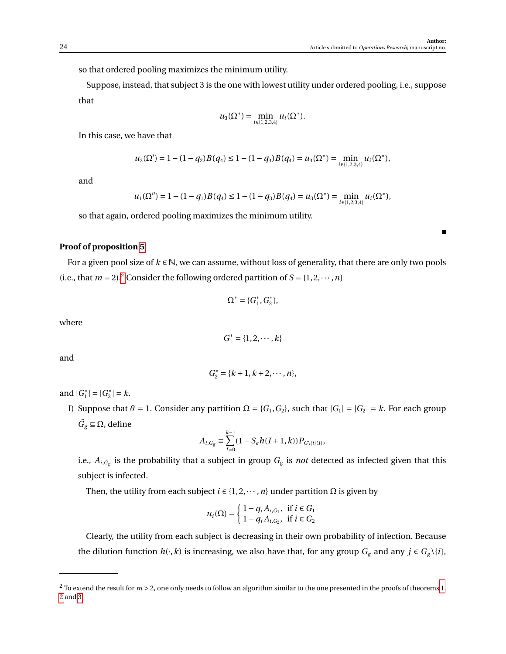so that ordered pooling maximizes the minimum utility.

Suppose, instead, that subject 3 is the one with lowest utility under ordered pooling, i.e., suppose that

$$
u_3(\Omega^*) = \min_{i \in \{1,2,3,4\}} u_i(\Omega^*).
$$

In this case, we have that

$$
u_2(\Omega') = 1 - (1 - q_2)B(q_4) \le 1 - (1 - q_3)B(q_4) = u_3(\Omega^*) = \min_{i \in \{1, 2, 3, 4\}} u_i(\Omega^*),
$$

and

$$
u_1(\Omega'') = 1 - (1 - q_1)B(q_4) \le 1 - (1 - q_3)B(q_4) = u_3(\Omega^*) = \min_{i \in \{1, 2, 3, 4\}} u_i(\Omega^*),
$$

so that again, ordered pooling maximizes the minimum utility.

## **Proof of proposition [5](#page-0-0)**

For a given pool size of *k* ∈ N, we can assume, without loss of generality, that there are only two pools (i.e., that  $m = 2$  $m = 2$ ).<sup>2</sup> Consider the following ordered partition of  $S = \{1, 2, \dots, n\}$ 

$$
\Omega^* = \{G^*_1, G^*_2\},
$$

where

$$
G_1^* = \{1, 2, \cdots, k\}
$$

and

$$
G_2^* = \{k+1, k+2, \cdots, n\},\
$$

and  $|G_1^*|$  $|_{1}^{*}|=|G_{2}^{*}|$  $|z_2^*| = k.$ 

I) Suppose that  $\theta = 1$ . Consider any partition  $\Omega = \{G_1, G_2\}$ , such that  $|G_1| = |G_2| = k$ . For each group  $\tilde{G}_g \subseteq \Omega$ , define

$$
A_{i,G_g} \equiv \sum_{I=0}^{k-1} (1 - S_e h(I+1,k)) P_{G \setminus \{i\}(I)},
$$

i.e.,  $A_{i,G_g}$  is the probability that a subject in group  $G_g$  is *not* detected as infected given that this subject is infected.

Then, the utility from each subject  $i \in \{1, 2, \dots, n\}$  under partition  $\Omega$  is given by

$$
u_i(\Omega) = \begin{cases} 1 - q_i A_{i,G_1}, & \text{if } i \in G_1 \\ 1 - q_i A_{i,G_2}, & \text{if } i \in G_2 \end{cases}
$$

Clearly, the utility from each subject is decreasing in their own probability of infection. Because the dilution function  $h(\cdot, k)$  is increasing, we also have that, for any group  $G_g$  and any  $j \in G_g \setminus \{i\}$ ,

<span id="page-23-0"></span> $2$  To extend the result for  $m > 2$ , one only needs to follow an algorithm similar to the one presented in the proofs of theorems [1,](#page-0-0) [2](#page-0-0) and [3.](#page-0-0)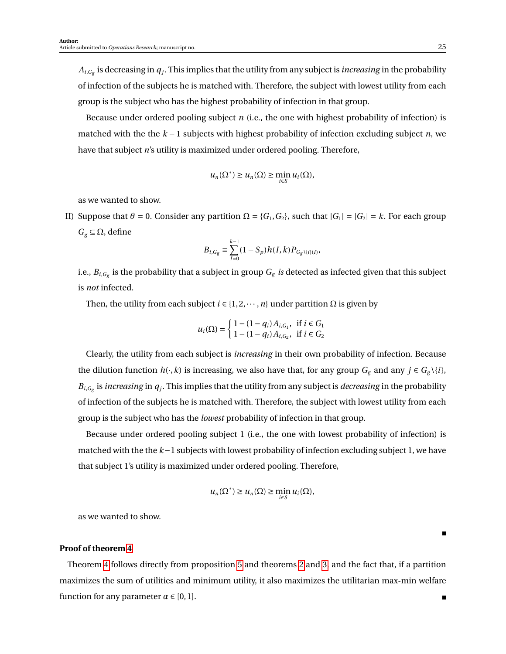$A_{i,G_{\rm g}}$  is decreasing in  $q_j$ . This implies that the utility from any subject is *increasing* in the probability of infection of the subjects he is matched with. Therefore, the subject with lowest utility from each group is the subject who has the highest probability of infection in that group.

Because under ordered pooling subject *n* (i.e., the one with highest probability of infection) is matched with the the *k* − 1 subjects with highest probability of infection excluding subject *n*, we have that subject *n*'s utility is maximized under ordered pooling. Therefore,

$$
u_n(\Omega^*) \ge u_n(\Omega) \ge \min_{i \in S} u_i(\Omega),
$$

as we wanted to show.

II) Suppose that  $\theta = 0$ . Consider any partition  $\Omega = \{G_1, G_2\}$ , such that  $|G_1| = |G_2| = k$ . For each group  $G_g \subseteq \Omega$ , define

$$
B_{i,G_g} \equiv \sum_{I=0}^{k-1} (1 - S_p) h(I, k) P_{G_g \setminus \{i\}(I)},
$$

i.e.,  $B_{i,G_{g}}$  is the probability that a subject in group  $G_{g}$  *is* detected as infected given that this subject is *not* infected.

Then, the utility from each subject  $i \in \{1, 2, \dots, n\}$  under partition  $\Omega$  is given by

$$
u_i(\Omega) = \begin{cases} 1 - (1 - q_i) A_{i, G_1}, & \text{if } i \in G_1 \\ 1 - (1 - q_i) A_{i, G_2}, & \text{if } i \in G_2 \end{cases}
$$

Clearly, the utility from each subject is *increasing* in their own probability of infection. Because the dilution function  $h(\cdot, k)$  is increasing, we also have that, for any group  $G_g$  and any  $j \in G_g \setminus \{i\}$ ,  $B_{i,G_g}$  is *increasing* in  $q_j$ . This implies that the utility from any subject is *decreasing* in the probability of infection of the subjects he is matched with. Therefore, the subject with lowest utility from each group is the subject who has the *lowest* probability of infection in that group.

Because under ordered pooling subject 1 (i.e., the one with lowest probability of infection) is matched with the the *k*−1 subjects with lowest probability of infection excluding subject 1, we have that subject 1's utility is maximized under ordered pooling. Therefore,

$$
u_n(\Omega^*) \ge u_n(\Omega) \ge \min_{i \in S} u_i(\Omega),
$$

as we wanted to show.

## **Proof of theorem [4](#page-0-0)**

Theorem [4](#page-0-0) follows directly from proposition [5](#page-0-0) and theorems [2](#page-0-0) and [3,](#page-0-0) and the fact that, if a partition maximizes the sum of utilities and minimum utility, it also maximizes the utilitarian max-min welfare function for any parameter  $\alpha \in [0,1]$ .

П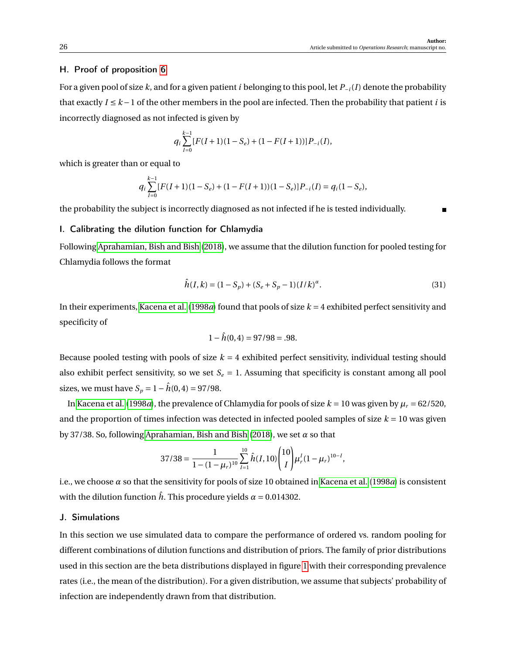## <span id="page-25-0"></span>H. Proof of proposition [6](#page-0-0)

For a given pool of size *k*, and for a given patient *i* belonging to this pool, let *P*<sup>−</sup>*i*(*I*) denote the probability that exactly  $I \leq k-1$  of the other members in the pool are infected. Then the probability that patient *i* is incorrectly diagnosed as not infected is given by

$$
q_i \sum_{I=0}^{k-1} [F(I+1)(1-S_e) + (1 - F(I+1))] P_{-i}(I),
$$

which is greater than or equal to

$$
q_i \sum_{I=0}^{k-1} [F(I+1)(1-S_e) + (1 - F(I+1))(1-S_e)]P_{-i}(I) = q_i(1-S_e),
$$

the probability the subject is incorrectly diagnosed as not infected if he is tested individually.

## <span id="page-25-1"></span>I. Calibrating the dilution function for Chlamydia

Following [Aprahamian, Bish and Bish](#page-0-0) [\(2018\)](#page-0-0), we assume that the dilution function for pooled testing for Chlamydia follows the format

$$
\hat{h}(I,k) = (1 - S_p) + (S_e + S_p - 1)(I/k)^{\alpha}.
$$
\n(31)

In their experiments, [Kacena et al.](#page-0-0) [\(1998](#page-0-0)*a*) found that pools of size *k* = 4 exhibited perfect sensitivity and specificity of

$$
1 - \hat{h}(0,4) = 97/98 = .98.
$$

Because pooled testing with pools of size *k* = 4 exhibited perfect sensitivity, individual testing should also exhibit perfect sensitivity, so we set  $S_e = 1$ . Assuming that specificity is constant among all pool sizes, we must have  $S_p = 1 - \hat{h}(0, 4) = 97/98$ .

In [Kacena et al.](#page-0-0) [\(1998](#page-0-0)*a*), the prevalence of Chlamydia for pools of size  $k = 10$  was given by  $\mu_r = 62/520$ , and the proportion of times infection was detected in infected pooled samples of size  $k = 10$  was given by 37/38. So, following [Aprahamian, Bish and Bish](#page-0-0) [\(2018\)](#page-0-0), we set *α* so that

$$
37/38 = \frac{1}{1 - (1 - \mu_r)^{10}} \sum_{I=1}^{10} \hat{h}(I, 10) \binom{10}{I} \mu_r^I (1 - \mu_r)^{10 - I},
$$

i.e., we choose *α* so that the sensitivity for pools of size 10 obtained in [Kacena et al.](#page-0-0) [\(1998](#page-0-0)*a*) is consistent with the dilution function  $\hat{h}$ . This procedure yields  $\alpha = 0.014302$ .

## <span id="page-25-2"></span>J. Simulations

In this section we use simulated data to compare the performance of ordered vs. random pooling for different combinations of dilution functions and distribution of priors. The family of prior distributions used in this section are the beta distributions displayed in figure [1](#page-26-0) with their corresponding prevalence rates (i.e., the mean of the distribution). For a given distribution, we assume that subjects' probability of infection are independently drawn from that distribution.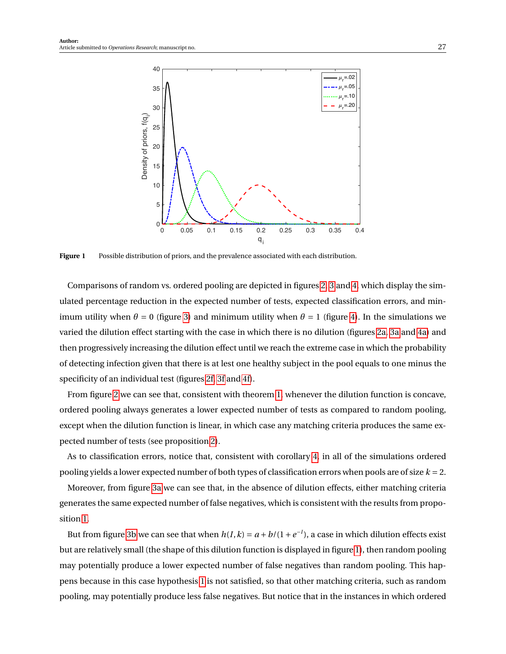<span id="page-26-0"></span>

**Figure 1** Possible distribution of priors, and the prevalence associated with each distribution.

Comparisons of random vs. ordered pooling are depicted in figures [2,](#page-28-0) [3](#page-29-0) and [4,](#page-30-0) which display the simulated percentage reduction in the expected number of tests, expected classification errors, and minimum utility when  $\theta = 0$  (figure [3\)](#page-29-0) and minimum utility when  $\theta = 1$  (figure [4\)](#page-30-0). In the simulations we varied the dilution effect starting with the case in which there is no dilution (figures [2a,](#page-28-0) [3a](#page-29-0) and [4a\)](#page-30-0) and then progressively increasing the dilution effect until we reach the extreme case in which the probability of detecting infection given that there is at lest one healthy subject in the pool equals to one minus the specificity of an individual test (figures [2f,](#page-28-0) [3f](#page-29-0) and [4f\)](#page-30-0).

From figure [2](#page-28-0) we can see that, consistent with theorem [1,](#page-0-0) whenever the dilution function is concave, ordered pooling always generates a lower expected number of tests as compared to random pooling, except when the dilution function is linear, in which case any matching criteria produces the same expected number of tests (see proposition [2\)](#page-0-0).

As to classification errors, notice that, consistent with corollary [4,](#page-0-0) in all of the simulations ordered pooling yields a lower expected number of both types of classification errors when pools are of size *k* = 2.

Moreover, from figure [3a](#page-29-0) we can see that, in the absence of dilution effects, either matching criteria generates the same expected number of false negatives, which is consistent with the results from proposition [1.](#page-11-0)

But from figure [3b](#page-29-0) we can see that when  $h(I, k) = a + b/(1 + e^{-I})$ , a case in which dilution effects exist but are relatively small (the shape of this dilution function is displayed in figure [1\)](#page-0-0), then random pooling may potentially produce a lower expected number of false negatives than random pooling. This happens because in this case hypothesis [1](#page-0-0) is not satisfied, so that other matching criteria, such as random pooling, may potentially produce less false negatives. But notice that in the instances in which ordered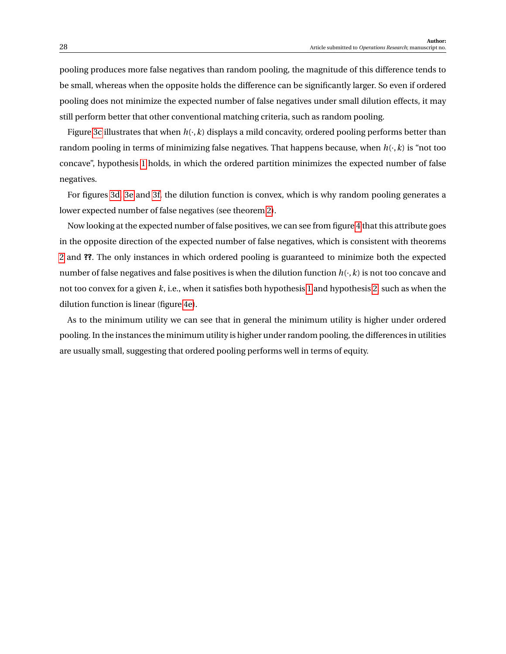pooling produces more false negatives than random pooling, the magnitude of this difference tends to be small, whereas when the opposite holds the difference can be significantly larger. So even if ordered pooling does not minimize the expected number of false negatives under small dilution effects, it may still perform better that other conventional matching criteria, such as random pooling.

Figure [3c](#page-29-0) illustrates that when  $h(\cdot, k)$  displays a mild concavity, ordered pooling performs better than random pooling in terms of minimizing false negatives. That happens because, when *h*(·,*k*) is "not too concave", hypothesis [1](#page-0-0) holds, in which the ordered partition minimizes the expected number of false negatives.

For figures [3d, 3e](#page-29-0) and [3f,](#page-29-0) the dilution function is convex, which is why random pooling generates a lower expected number of false negatives (see theorem [2\)](#page-0-0).

Now looking at the expected number of false positives, we can see from figure [4](#page-30-0) that this attribute goes in the opposite direction of the expected number of false negatives, which is consistent with theorems [2](#page-0-0) and **??**. The only instances in which ordered pooling is guaranteed to minimize both the expected number of false negatives and false positives is when the dilution function *h*(·,*k*) is not too concave and not too convex for a given *k*, i.e., when it satisfies both hypothesis [1](#page-0-0) and hypothesis [2,](#page-0-0) such as when the dilution function is linear (figure [4e\)](#page-30-0).

As to the minimum utility we can see that in general the minimum utility is higher under ordered pooling. In the instances the minimum utility is higher under random pooling, the differences in utilities are usually small, suggesting that ordered pooling performs well in terms of equity.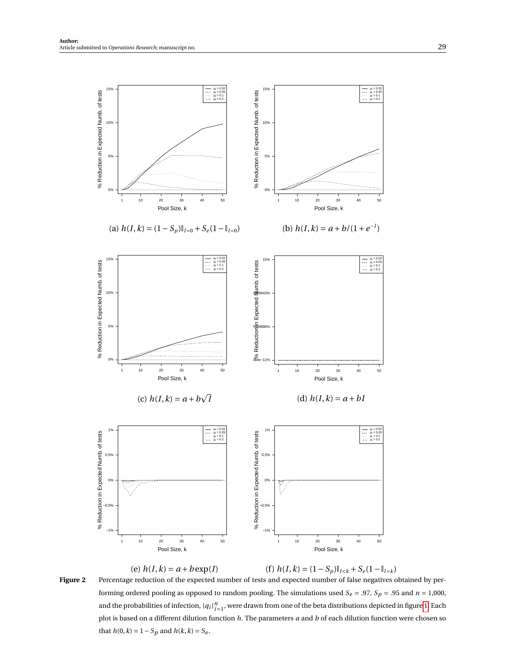<span id="page-28-0"></span>

Figure 2 Percentage reduction of the expected number of tests and expected number of false negatives obtained by performing ordered pooling as opposed to random pooling. The simulations used  $S_e = .97$ ,  $S_p = .95$  and  $n = 1,000$ , and the probabilities of infection,  ${q_i}_{i=1}^n$ , were drawn from one of the beta distributions depicted in figure [1.](#page-26-0) Each plot is based on a different dilution function *h*. The parameters *a* and *b* of each dilution function were chosen so that *h*(0, *k*) = 1 − *Sp* and *h*(*k*, *k*) = *Se*.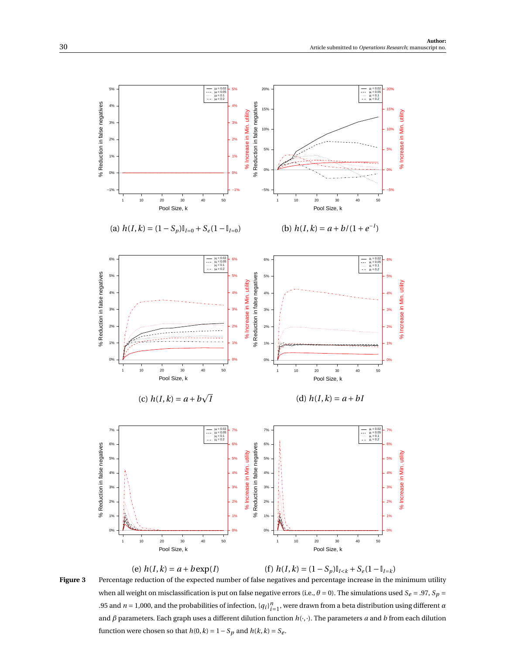<span id="page-29-0"></span>

Figure 3 Percentage reduction of the expected number of false negatives and percentage increase in the minimum utility when all weight on misclassification is put on false negative errors (i.e.,  $\theta = 0$ ). The simulations used  $S_e = .97$ ,  $S_p =$ .95 and  $n = 1,000$ , and the probabilities of infection,  ${q_i}_{i=1}^n$ , were drawn from a beta distribution using different  $\alpha$ and *β* parameters. Each graph uses a different dilution function *h*(·,·). The parameters *a* and *b* from each dilution function were chosen so that  $h(0, k) = 1 - S_p$  and  $h(k, k) = S_e$ .